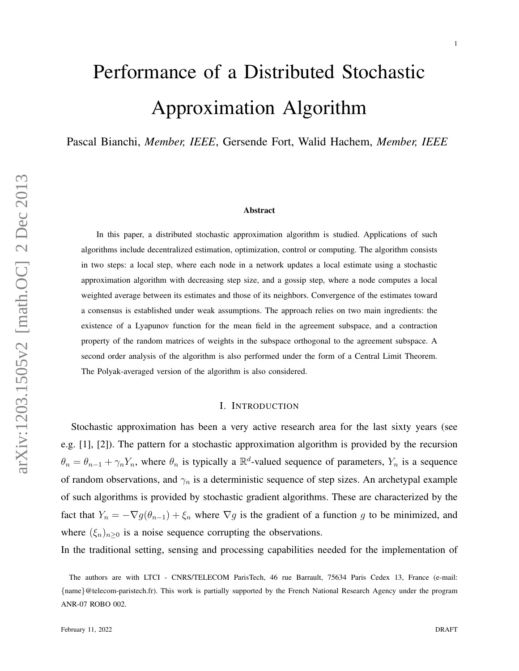# Performance of a Distributed Stochastic Approximation Algorithm

Pascal Bianchi, *Member, IEEE*, Gersende Fort, Walid Hachem, *Member, IEEE*

#### Abstract

In this paper, a distributed stochastic approximation algorithm is studied. Applications of such algorithms include decentralized estimation, optimization, control or computing. The algorithm consists in two steps: a local step, where each node in a network updates a local estimate using a stochastic approximation algorithm with decreasing step size, and a gossip step, where a node computes a local weighted average between its estimates and those of its neighbors. Convergence of the estimates toward a consensus is established under weak assumptions. The approach relies on two main ingredients: the existence of a Lyapunov function for the mean field in the agreement subspace, and a contraction property of the random matrices of weights in the subspace orthogonal to the agreement subspace. A second order analysis of the algorithm is also performed under the form of a Central Limit Theorem. The Polyak-averaged version of the algorithm is also considered.

# I. INTRODUCTION

Stochastic approximation has been a very active research area for the last sixty years (see e.g. [1], [2]). The pattern for a stochastic approximation algorithm is provided by the recursion  $\theta_n = \theta_{n-1} + \gamma_n Y_n$ , where  $\theta_n$  is typically a  $\mathbb{R}^d$ -valued sequence of parameters,  $Y_n$  is a sequence of random observations, and  $\gamma_n$  is a deterministic sequence of step sizes. An archetypal example of such algorithms is provided by stochastic gradient algorithms. These are characterized by the fact that  $Y_n = -\nabla g(\theta_{n-1}) + \xi_n$  where  $\nabla g$  is the gradient of a function g to be minimized, and where  $(\xi_n)_{n\geq 0}$  is a noise sequence corrupting the observations.

In the traditional setting, sensing and processing capabilities needed for the implementation of

The authors are with LTCI - CNRS/TELECOM ParisTech, 46 rue Barrault, 75634 Paris Cedex 13, France (e-mail: {name}@telecom-paristech.fr). This work is partially supported by the French National Research Agency under the program ANR-07 ROBO 002.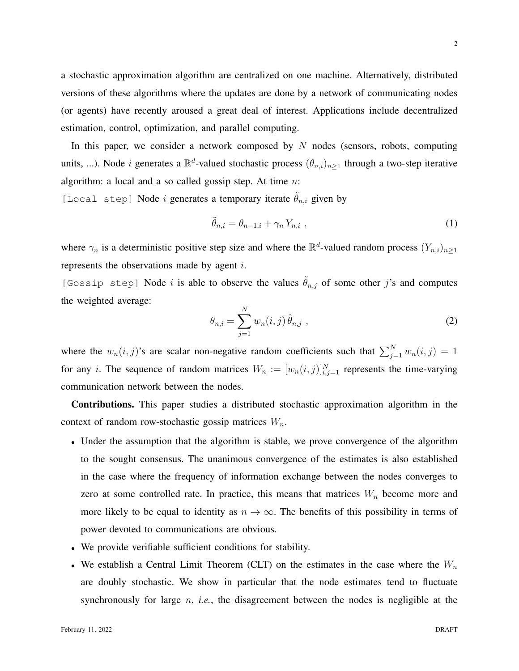a stochastic approximation algorithm are centralized on one machine. Alternatively, distributed versions of these algorithms where the updates are done by a network of communicating nodes (or agents) have recently aroused a great deal of interest. Applications include decentralized estimation, control, optimization, and parallel computing.

In this paper, we consider a network composed by  $N$  nodes (sensors, robots, computing units, ...). Node *i* generates a  $\mathbb{R}^d$ -valued stochastic process  $(\theta_{n,i})_{n\geq 1}$  through a two-step iterative algorithm: a local and a so called gossip step. At time  $n$ :

[Local step] Node *i* generates a temporary iterate  $\hat{\theta}_{n,i}$  given by

<span id="page-1-0"></span>
$$
\tilde{\theta}_{n,i} = \theta_{n-1,i} + \gamma_n Y_{n,i} \tag{1}
$$

where  $\gamma_n$  is a deterministic positive step size and where the  $\mathbb{R}^d$ -valued random process  $(Y_{n,i})_{n\geq 1}$ represents the observations made by agent i.

[Gossip step] Node *i* is able to observe the values  $\tilde{\theta}_{n,j}$  of some other *j*'s and computes the weighted average:

<span id="page-1-1"></span>
$$
\theta_{n,i} = \sum_{j=1}^{N} w_n(i,j) \, \tilde{\theta}_{n,j} \tag{2}
$$

where the  $w_n(i, j)$ 's are scalar non-negative random coefficients such that  $\sum_{j=1}^{N} w_n(i, j) = 1$ for any *i*. The sequence of random matrices  $W_n := [w_n(i,j)]_{i,j=1}^N$  represents the time-varying communication network between the nodes.

Contributions. This paper studies a distributed stochastic approximation algorithm in the context of random row-stochastic gossip matrices  $W_n$ .

- Under the assumption that the algorithm is stable, we prove convergence of the algorithm to the sought consensus. The unanimous convergence of the estimates is also established in the case where the frequency of information exchange between the nodes converges to zero at some controlled rate. In practice, this means that matrices  $W_n$  become more and more likely to be equal to identity as  $n \to \infty$ . The benefits of this possibility in terms of power devoted to communications are obvious.
- We provide verifiable sufficient conditions for stability.
- We establish a Central Limit Theorem (CLT) on the estimates in the case where the  $W_n$ are doubly stochastic. We show in particular that the node estimates tend to fluctuate synchronously for large  $n$ , *i.e.*, the disagreement between the nodes is negligible at the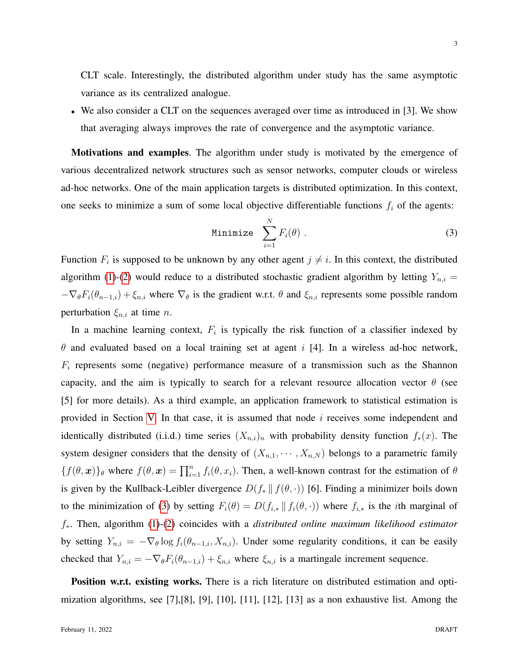CLT scale. Interestingly, the distributed algorithm under study has the same asymptotic variance as its centralized analogue.

• We also consider a CLT on the sequences averaged over time as introduced in [3]. We show that averaging always improves the rate of convergence and the asymptotic variance.

Motivations and examples. The algorithm under study is motivated by the emergence of various decentralized network structures such as sensor networks, computer clouds or wireless ad-hoc networks. One of the main application targets is distributed optimization. In this context, one seeks to minimize a sum of some local objective differentiable functions  $f_i$  of the agents:

<span id="page-2-0"></span>Minimize 
$$
\sum_{i=1}^{N} F_i(\theta)
$$
 (3)

Function  $F_i$  is supposed to be unknown by any other agent  $j \neq i$ . In this context, the distributed algorithm [\(1\)](#page-1-0)-[\(2\)](#page-1-1) would reduce to a distributed stochastic gradient algorithm by letting  $Y_{n,i} =$  $-\nabla_{\theta}F_i(\theta_{n-1,i}) + \xi_{n,i}$  where  $\nabla_{\theta}$  is the gradient w.r.t.  $\theta$  and  $\xi_{n,i}$  represents some possible random perturbation  $\xi_{n,i}$  at time *n*.

In a machine learning context,  $F_i$  is typically the risk function of a classifier indexed by  $\theta$  and evaluated based on a local training set at agent i [4]. In a wireless ad-hoc network,  $F_i$  represents some (negative) performance measure of a transmission such as the Shannon capacity, and the aim is typically to search for a relevant resource allocation vector  $\theta$  (see [5] for more details). As a third example, an application framework to statistical estimation is provided in Section [V.](#page-15-0) In that case, it is assumed that node  $i$  receives some independent and identically distributed (i.i.d.) time series  $(X_{n,i})$ <sub>n</sub> with probability density function  $f_*(x)$ . The system designer considers that the density of  $(X_{n,1},\dots, X_{n,N})$  belongs to a parametric family  ${f(\theta, \bm{x})}_\theta$  where  $f(\theta, \bm{x}) = \prod_{i=1}^n f_i(\theta, x_i)$ . Then, a well-known contrast for the estimation of  $\theta$ is given by the Kullback-Leibler divergence  $D(f_* || f(\theta, \cdot))$  [6]. Finding a minimizer boils down to the minimization of [\(3\)](#page-2-0) by setting  $F_i(\theta) = D(f_{i,*} || f_i(\theta, \cdot))$  where  $f_{i,*}$  is the *i*th marginal of f∗. Then, algorithm [\(1\)](#page-1-0)-[\(2\)](#page-1-1) coincides with a *distributed online maximum likelihood estimator* by setting  $Y_{n,i} = -\nabla_{\theta} \log f_i(\theta_{n-1,i}, X_{n,i})$ . Under some regularity conditions, it can be easily checked that  $Y_{n,i} = -\nabla_{\theta} F_i(\theta_{n-1,i}) + \xi_{n,i}$  where  $\xi_{n,i}$  is a martingale increment sequence.

Position w.r.t. existing works. There is a rich literature on distributed estimation and optimization algorithms, see  $[7]$ , $[8]$ ,  $[9]$ ,  $[10]$ ,  $[11]$ ,  $[12]$ ,  $[13]$  as a non exhaustive list. Among the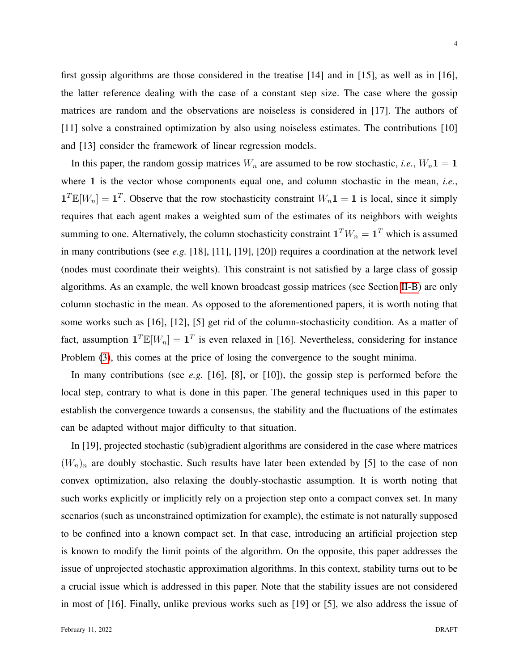first gossip algorithms are those considered in the treatise [14] and in [15], as well as in [16], the latter reference dealing with the case of a constant step size. The case where the gossip matrices are random and the observations are noiseless is considered in [17]. The authors of [11] solve a constrained optimization by also using noiseless estimates. The contributions [10] and [13] consider the framework of linear regression models.

In this paper, the random gossip matrices  $W_n$  are assumed to be row stochastic, *i.e.*,  $W_n \mathbf{1} = \mathbf{1}$ where 1 is the vector whose components equal one, and column stochastic in the mean, *i.e.*,  $1^T \mathbb{E}[W_n] = 1^T$ . Observe that the row stochasticity constraint  $W_n 1 = 1$  is local, since it simply requires that each agent makes a weighted sum of the estimates of its neighbors with weights summing to one. Alternatively, the column stochasticity constraint  $\mathbf{1}^T W_n = \mathbf{1}^T$  which is assumed in many contributions (see *e.g.* [18], [11], [19], [20]) requires a coordination at the network level (nodes must coordinate their weights). This constraint is not satisfied by a large class of gossip algorithms. As an example, the well known broadcast gossip matrices (see Section [II-B\)](#page-6-0) are only column stochastic in the mean. As opposed to the aforementioned papers, it is worth noting that some works such as [16], [12], [5] get rid of the column-stochasticity condition. As a matter of fact, assumption  $\mathbf{1}^T \mathbb{E}[W_n] = \mathbf{1}^T$  is even relaxed in [16]. Nevertheless, considering for instance Problem [\(3\)](#page-2-0), this comes at the price of losing the convergence to the sought minima.

In many contributions (see *e.g.* [16], [8], or [10]), the gossip step is performed before the local step, contrary to what is done in this paper. The general techniques used in this paper to establish the convergence towards a consensus, the stability and the fluctuations of the estimates can be adapted without major difficulty to that situation.

In [19], projected stochastic (sub)gradient algorithms are considered in the case where matrices  $(W_n)_n$  are doubly stochastic. Such results have later been extended by [5] to the case of non convex optimization, also relaxing the doubly-stochastic assumption. It is worth noting that such works explicitly or implicitly rely on a projection step onto a compact convex set. In many scenarios (such as unconstrained optimization for example), the estimate is not naturally supposed to be confined into a known compact set. In that case, introducing an artificial projection step is known to modify the limit points of the algorithm. On the opposite, this paper addresses the issue of unprojected stochastic approximation algorithms. In this context, stability turns out to be a crucial issue which is addressed in this paper. Note that the stability issues are not considered in most of [16]. Finally, unlike previous works such as [19] or [5], we also address the issue of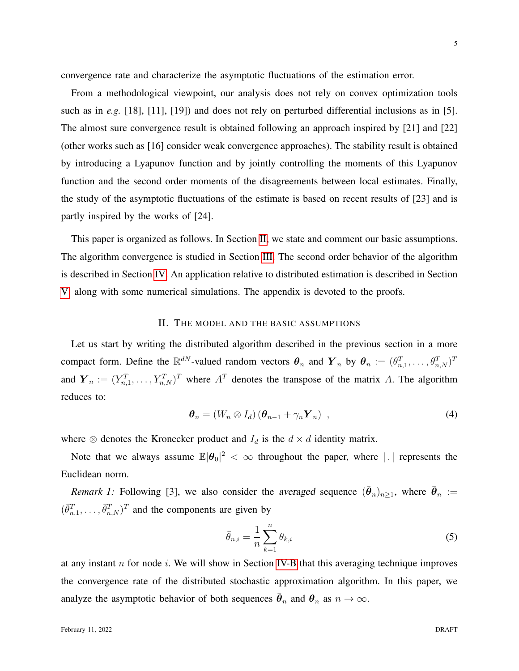convergence rate and characterize the asymptotic fluctuations of the estimation error.

From a methodological viewpoint, our analysis does not rely on convex optimization tools such as in *e.g.* [18], [11], [19]) and does not rely on perturbed differential inclusions as in [5]. The almost sure convergence result is obtained following an approach inspired by [21] and [22] (other works such as [16] consider weak convergence approaches). The stability result is obtained by introducing a Lyapunov function and by jointly controlling the moments of this Lyapunov function and the second order moments of the disagreements between local estimates. Finally, the study of the asymptotic fluctuations of the estimate is based on recent results of [23] and is partly inspired by the works of [24].

This paper is organized as follows. In Section [II,](#page-4-0) we state and comment our basic assumptions. The algorithm convergence is studied in Section [III.](#page-7-0) The second order behavior of the algorithm is described in Section [IV.](#page-11-0) An application relative to distributed estimation is described in Section [V,](#page-15-0) along with some numerical simulations. The appendix is devoted to the proofs.

#### II. THE MODEL AND THE BASIC ASSUMPTIONS

<span id="page-4-0"></span>Let us start by writing the distributed algorithm described in the previous section in a more compact form. Define the  $\mathbb{R}^{dN}$ -valued random vectors  $\theta_n$  and  $Y_n$  by  $\theta_n := (\theta_{n,1}^T, \dots, \theta_{n,N}^T)^T$ and  $Y_n := (Y_{n,1}^T, \ldots, Y_{n,N}^T)^T$  where  $A^T$  denotes the transpose of the matrix A. The algorithm reduces to:

<span id="page-4-1"></span>
$$
\boldsymbol{\theta}_n = (W_n \otimes I_d) \left( \boldsymbol{\theta}_{n-1} + \gamma_n \boldsymbol{Y}_n \right) , \qquad (4)
$$

where  $\otimes$  denotes the Kronecker product and  $I_d$  is the  $d \times d$  identity matrix.

Note that we always assume  $\mathbb{E}|\theta_0|^2 < \infty$  throughout the paper, where | | | represents the Euclidean norm.

*Remark 1:* Following [3], we also consider the averaged sequence  $(\bar{\theta}_n)_{n\geq 1}$ , where  $\bar{\theta}_n :=$  $(\bar{\theta}_{n,1}^T, \ldots, \bar{\theta}_{n,N}^T)^T$  and the components are given by

<span id="page-4-2"></span>
$$
\bar{\theta}_{n,i} = \frac{1}{n} \sum_{k=1}^{n} \theta_{k,i} \tag{5}
$$

at any instant  $n$  for node i. We will show in Section [IV-B](#page-12-0) that this averaging technique improves the convergence rate of the distributed stochastic approximation algorithm. In this paper, we analyze the asymptotic behavior of both sequences  $\bar{\theta}_n$  and  $\theta_n$  as  $n \to \infty$ .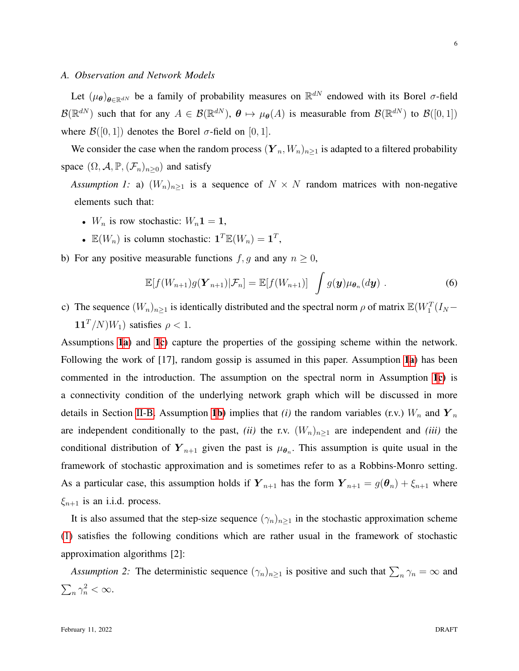#### <span id="page-5-5"></span>*A. Observation and Network Models*

Let  $(\mu_{\theta})_{\theta \in \mathbb{R}^{dN}}$  be a family of probability measures on  $\mathbb{R}^{dN}$  endowed with its Borel  $\sigma$ -field  $\mathcal{B}(\mathbb{R}^{dN})$  such that for any  $A \in \mathcal{B}(\mathbb{R}^{dN})$ ,  $\theta \mapsto \mu_{\theta}(A)$  is measurable from  $\mathcal{B}(\mathbb{R}^{dN})$  to  $\mathcal{B}([0,1])$ where  $\mathcal{B}([0, 1])$  denotes the Borel  $\sigma$ -field on [0, 1].

We consider the case when the random process  $(Y_n, W_n)_{n \geq 1}$  is adapted to a filtered probability space  $(\Omega, \mathcal{A}, \mathbb{P}, (\mathcal{F}_n)_{n>0})$  and satisfy

<span id="page-5-1"></span>*Assumption 1:* a)  $(W_n)_{n\geq 1}$  is a sequence of  $N \times N$  random matrices with non-negative elements such that:

- $W_n$  is row stochastic:  $W_n \mathbf{1} = \mathbf{1}$ ,
- $\mathbb{E}(W_n)$  is column stochastic:  $\mathbf{1}^T \mathbb{E}(W_n) = \mathbf{1}^T$ ,
- <span id="page-5-3"></span>b) For any positive measurable functions  $f, g$  and any  $n \geq 0$ ,

<span id="page-5-0"></span>
$$
\mathbb{E}[f(W_{n+1})g(\mathbf{Y}_{n+1})|\mathcal{F}_n] = \mathbb{E}[f(W_{n+1})] \int g(\mathbf{y})\mu_{\boldsymbol{\theta}_n}(d\mathbf{y}) . \tag{6}
$$

<span id="page-5-2"></span>c) The sequence  $(W_n)_{n\geq 1}$  is identically distributed and the spectral norm  $\rho$  of matrix  $\mathbb{E}(W_1^T(I_N 11^T/N$  $(W_1)$  satisfies  $\rho < 1$ .

Assumptions [1](#page-5-0)[a](#page-5-1)) and [1](#page-5-0)[c](#page-5-2)) capture the properties of the gossiping scheme within the network. Following the work of [[1](#page-5-0)7], r[a](#page-5-1)ndom gossip is assumed in this paper. Assumption 1a) has been commented in the introduction. The assumption on the spectral norm in Assumption [1](#page-5-0)[c\)](#page-5-2) is a connectivity condition of the underlying network graph which will be discussed in more details in Section [II-B.](#page-6-0) Assumption [1](#page-5-0)[b\)](#page-5-3) implies that *(i)* the random variables (r.v.)  $W_n$  and  $Y_n$ are independent conditionally to the past, *(ii)* the r.v.  $(W_n)_{n\geq 1}$  are independent and *(iii)* the conditional distribution of  $Y_{n+1}$  given the past is  $\mu_{\theta_n}$ . This assumption is quite usual in the framework of stochastic approximation and is sometimes refer to as a Robbins-Monro setting. As a particular case, this assumption holds if  $Y_{n+1}$  has the form  $Y_{n+1} = g(\theta_n) + \xi_{n+1}$  where  $\xi_{n+1}$  is an i.i.d. process.

It is also assumed that the step-size sequence  $(\gamma_n)_{n\geq 1}$  in the stochastic approximation scheme [\(1\)](#page-1-0) satisfies the following conditions which are rather usual in the framework of stochastic approximation algorithms [2]:

<span id="page-5-4"></span>*Assumption 2:* The deterministic sequence  $(\gamma_n)_{n\geq 1}$  is positive and such that  $\sum_n \gamma_n = \infty$  and  $\sum_n \gamma_n^2 < \infty$ .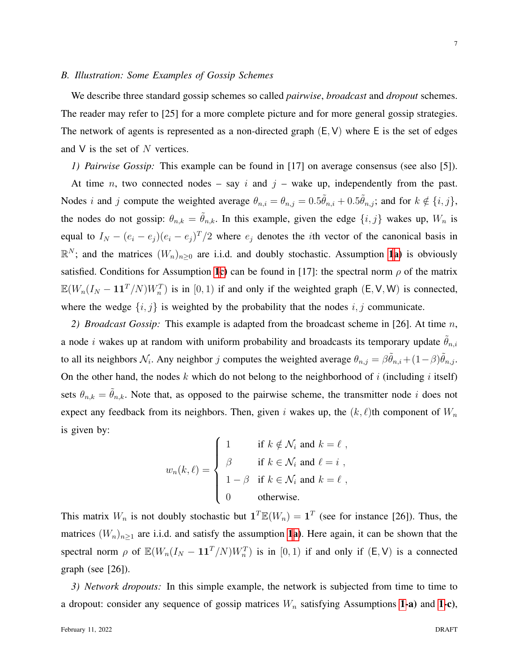#### <span id="page-6-0"></span>*B. Illustration: Some Examples of Gossip Schemes*

We describe three standard gossip schemes so called *pairwise*, *broadcast* and *dropout* schemes. The reader may refer to [25] for a more complete picture and for more general gossip strategies. The network of agents is represented as a non-directed graph  $(E, V)$  where E is the set of edges and  $V$  is the set of  $N$  vertices.

# *1) Pairwise Gossip:* This example can be found in [17] on average consensus (see also [5]).

At time n, two connected nodes – say i and  $j$  – wake up, independently from the past. Nodes *i* and *j* compute the weighted average  $\theta_{n,i} = \theta_{n,j} = 0.5\tilde{\theta}_{n,i} + 0.5\tilde{\theta}_{n,j}$ ; and for  $k \notin \{i, j\}$ , the nodes do not gossip:  $\theta_{n,k} = \tilde{\theta}_{n,k}$ . In this example, given the edge  $\{i, j\}$  wakes up,  $W_n$  is equal to  $I_N - (e_i - e_j)(e_i - e_j)^T/2$  where  $e_j$  denotes the *i*th vector of the canonical basis in  $\mathbb{R}^N$ ; and the matrices  $(W_n)_{n\geq 0}$  are i.i.d. and doubly stochastic. Assumption [1](#page-5-0)[a\)](#page-5-1) is obviously satisfied. Conditions for Assumption [1](#page-5-0)[c\)](#page-5-2) can be found in [17]: the spectral norm  $\rho$  of the matrix  $\mathbb{E}(W_n(I_N - 11^T/N)W_n^T)$  is in [0, 1) if and only if the weighted graph (E, V, W) is connected, where the wedge  $\{i, j\}$  is weighted by the probability that the nodes  $i, j$  communicate.

*2) Broadcast Gossip:* This example is adapted from the broadcast scheme in [26]. At time n, a node *i* wakes up at random with uniform probability and broadcasts its temporary update  $\theta_{n,i}$ to all its neighbors  $\mathcal{N}_i$ . Any neighbor j computes the weighted average  $\theta_{n,j} = \beta \tilde{\theta}_{n,i} + (1-\beta)\tilde{\theta}_{n,j}$ . On the other hand, the nodes k which do not belong to the neighborhood of i (including i itself) sets  $\theta_{n,k} = \theta_{n,k}$ . Note that, as opposed to the pairwise scheme, the transmitter node i does not expect any feedback from its neighbors. Then, given i wakes up, the  $(k, \ell)$ th component of  $W_n$ is given by:

$$
w_n(k,\ell) = \begin{cases} 1 & \text{if } k \notin \mathcal{N}_i \text{ and } k = \ell ,\\ \beta & \text{if } k \in \mathcal{N}_i \text{ and } \ell = i ,\\ 1 - \beta & \text{if } k \in \mathcal{N}_i \text{ and } k = \ell ,\\ 0 & \text{otherwise.} \end{cases}
$$

This matrix  $W_n$  is not doubly stochastic but  $\mathbf{1}^T \mathbb{E}(W_n) = \mathbf{1}^T$  (see for instance [26]). Thus, the matrices  $(W_n)_{n\geq 1}$  $(W_n)_{n\geq 1}$  $(W_n)_{n\geq 1}$  are i.i.d. and satisfy the assumption 1[a\)](#page-5-1). Here again, it can be shown that the spectral norm  $\rho$  of  $\mathbb{E}(W_n(I_N - 11^T/N)W_n^T)$  is in [0, 1) if and only if  $(E, V)$  is a connected graph (see [26]).

*3) Network dropouts:* In this simple example, the network is subjected from time to time to a dropout: consider any sequence of gossip matrices  $W_n$  satisfying Assumptions [1-](#page-5-0)a) and 1-c),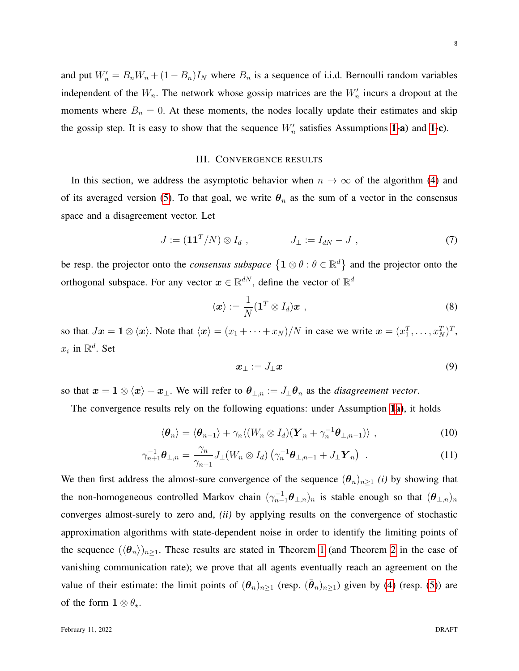and put  $W'_n = B_n W_n + (1 - B_n)I_N$  where  $B_n$  is a sequence of i.i.d. Bernoulli random variables independent of the  $W_n$ . The network whose gossip matrices are the  $W'_n$  incurs a dropout at the moments where  $B_n = 0$ . At these moments, the nodes locally update their estimates and skip the gossip step. It is easy to show that the sequence  $W'_n$  satisfies Assumptions [1-](#page-5-0)a) and 1-c).

# III. CONVERGENCE RESULTS

<span id="page-7-0"></span>In this section, we address the asymptotic behavior when  $n \to \infty$  of the algorithm [\(4\)](#page-4-1) and of its averaged version [\(5\)](#page-4-2). To that goal, we write  $\theta_n$  as the sum of a vector in the consensus space and a disagreement vector. Let

<span id="page-7-2"></span>
$$
J := (\mathbf{1}\mathbf{1}^T/N) \otimes I_d , \qquad J_\perp := I_{dN} - J , \qquad (7)
$$

be resp. the projector onto the *consensus subspace*  $\{1 \otimes \theta : \theta \in \mathbb{R}^d\}$  and the projector onto the orthogonal subspace. For any vector  $x \in \mathbb{R}^{dN}$ , define the vector of  $\mathbb{R}^d$ 

<span id="page-7-4"></span>
$$
\langle \boldsymbol{x} \rangle := \frac{1}{N} (\boldsymbol{1}^T \otimes I_d) \boldsymbol{x} \tag{8}
$$

so that  $Jx = \mathbf{1} \otimes \langle x \rangle$ . Note that  $\langle x \rangle = (x_1 + \cdots + x_N) / N$  in case we write  $x = (x_1^T, \dots, x_N^T)^T$ ,  $x_i$  in  $\mathbb{R}^d$ . Set

<span id="page-7-3"></span><span id="page-7-1"></span>
$$
\boldsymbol{x}_{\perp} := J_{\perp} \boldsymbol{x} \tag{9}
$$

so that  $x = 1 \otimes \langle x \rangle + x_{\perp}$ . We will refer to  $\theta_{\perp,n} := J_{\perp} \theta_n$  as the *disagreement vector*.

The convergence results rely on the following equations: under Assumption [1](#page-5-0)[a\)](#page-5-1), it holds

$$
\langle \boldsymbol{\theta}_n \rangle = \langle \boldsymbol{\theta}_{n-1} \rangle + \gamma_n \langle (W_n \otimes I_d)(\boldsymbol{Y}_n + \gamma_n^{-1} \boldsymbol{\theta}_{\perp, n-1}) \rangle \;, \tag{10}
$$

$$
\gamma_{n+1}^{-1}\boldsymbol{\theta}_{\perp,n} = \frac{\gamma_n}{\gamma_{n+1}} J_{\perp}(W_n \otimes I_d) \left( \gamma_n^{-1}\boldsymbol{\theta}_{\perp,n-1} + J_{\perp} \boldsymbol{Y}_n \right) . \tag{11}
$$

We then first address the almost-sure convergence of the sequence  $(\theta_n)_{n\geq 1}$  *(i)* by showing that the non-homogeneous controlled Markov chain  $(\gamma_{n-1}^{-1}\theta_{\perp,n})_n$  is stable enough so that  $(\theta_{\perp,n})_n$ converges almost-surely to zero and, *(ii)* by applying results on the convergence of stochastic approximation algorithms with state-dependent noise in order to identify the limiting points of the sequence  $(\langle \theta_n \rangle)_{n \geq 1}$  $(\langle \theta_n \rangle)_{n \geq 1}$  $(\langle \theta_n \rangle)_{n \geq 1}$ . These results are stated in Theorem 1 (and Theorem [2](#page-10-0) in the case of vanishing communication rate); we prove that all agents eventually reach an agreement on the value of their estimate: the limit points of  $(\theta_n)_{n\geq 1}$  (resp.  $(\bar{\theta}_n)_{n\geq 1}$ ) given by [\(4\)](#page-4-1) (resp. [\(5\)](#page-4-2)) are of the form  $1 \otimes \theta_{\star}$ .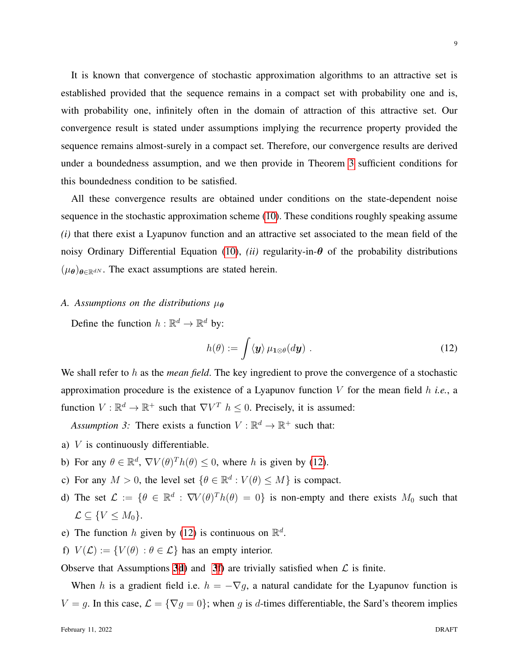It is known that convergence of stochastic approximation algorithms to an attractive set is established provided that the sequence remains in a compact set with probability one and is, with probability one, infinitely often in the domain of attraction of this attractive set. Our convergence result is stated under assumptions implying the recurrence property provided the sequence remains almost-surely in a compact set. Therefore, our convergence results are derived under a boundedness assumption, and we then provide in Theorem [3](#page-11-1) sufficient conditions for this boundedness condition to be satisfied.

All these convergence results are obtained under conditions on the state-dependent noise sequence in the stochastic approximation scheme [\(10\)](#page-7-1). These conditions roughly speaking assume *(i)* that there exist a Lyapunov function and an attractive set associated to the mean field of the noisy Ordinary Differential Equation [\(10\)](#page-7-1), *(ii)* regularity-in- $\theta$  of the probability distributions  $(\mu_{\theta})_{\theta \in \mathbb{R}^{dN}}$ . The exact assumptions are stated herein.

# *A. Assumptions on the distributions*  $\mu_{\theta}$

Define the function  $h : \mathbb{R}^d \to \mathbb{R}^d$  by:

<span id="page-8-1"></span><span id="page-8-0"></span>
$$
h(\theta) := \int \langle \mathbf{y} \rangle \, \mu_{\mathbf{1} \otimes \theta}(d\mathbf{y}) \; . \tag{12}
$$

We shall refer to h as the *mean field*. The key ingredient to prove the convergence of a stochastic approximation procedure is the existence of a Lyapunov function V for the mean field h *i.e.*, a function  $V : \mathbb{R}^d \to \mathbb{R}^+$  such that  $\nabla V^T$   $h \leq 0$ . Precisely, it is assumed:

Assumption 3: There exists a function  $V : \mathbb{R}^d \to \mathbb{R}^+$  such that:

- <span id="page-8-4"></span>a) V is continuously differentiable.
- <span id="page-8-6"></span>b) For any  $\theta \in \mathbb{R}^d$ ,  $\nabla V(\theta)^T h(\theta) \leq 0$ , where h is given by [\(12\)](#page-8-0).
- c) For any  $M > 0$ , the level set  $\{\theta \in \mathbb{R}^d : V(\theta) \le M\}$  is compact.
- <span id="page-8-2"></span>d) The set  $\mathcal{L} := \{ \theta \in \mathbb{R}^d : \nabla V(\theta)^T h(\theta) = 0 \}$  is non-empty and there exists  $M_0$  such that  $\mathcal{L} \subseteq \{V \leq M_0\}.$
- <span id="page-8-5"></span>e) The function h given by [\(12\)](#page-8-0) is continuous on  $\mathbb{R}^d$ .
- <span id="page-8-3"></span>f)  $V(\mathcal{L}) := \{ V(\theta) : \theta \in \mathcal{L} \}$  has an empty interior.

Observe that Assumptions [3](#page-8-1)[d\)](#page-8-2) and 3[f\)](#page-8-3) are trivially satisfied when  $\mathcal L$  is finite.

When h is a gradient field i.e.  $h = -\nabla g$ , a natural candidate for the Lyapunov function is  $V = g$ . In this case,  $\mathcal{L} = \{\nabla g = 0\}$ ; when g is d-times differentiable, the Sard's theorem implies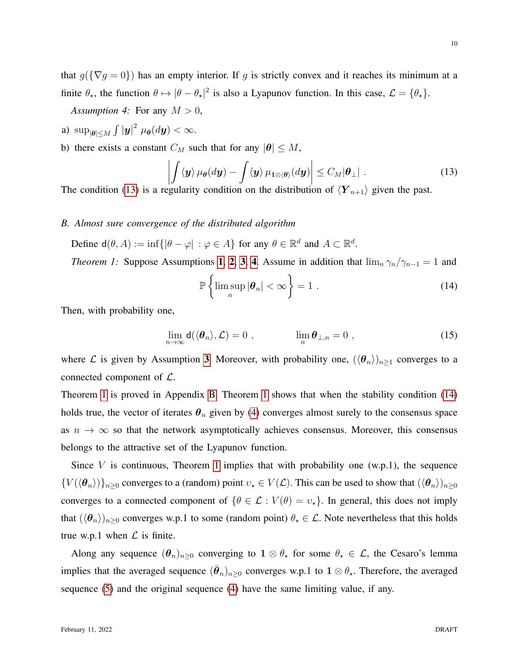10

that  $g(\{\nabla g = 0\})$  has an empty interior. If g is strictly convex and it reaches its minimum at a finite  $\theta_{\star}$ , the function  $\theta \mapsto |\theta - \theta_{\star}|^2$  is also a Lyapunov function. In this case,  $\mathcal{L} = {\theta_{\star}}$ .

<span id="page-9-2"></span>*Assumption 4:* For any  $M > 0$ ,

- <span id="page-9-4"></span>a)  $\sup_{|\theta| \le M} \int |\mathbf{y}|^2 \mu_{\theta}(d\mathbf{y}) < \infty.$
- <span id="page-9-5"></span>b) there exists a constant  $C_M$  such that for any  $|\theta| \leq M$ ,

<span id="page-9-1"></span>
$$
\left| \int \langle \mathbf{y} \rangle \, \mu_{\theta}(d\mathbf{y}) - \int \langle \mathbf{y} \rangle \, \mu_{1 \otimes \langle \theta \rangle}(d\mathbf{y}) \right| \leq C_M |\theta_{\perp}| \tag{13}
$$

The condition [\(13\)](#page-9-1) is a regularity condition on the distribution of  $\langle Y_{n+1} \rangle$  given the past.

## *B. Almost sure convergence of the distributed algorithm*

Define  $d(\theta, A) := \inf \{ |\theta - \varphi| : \varphi \in A \}$  for any  $\theta \in \mathbb{R}^d$  and  $A \subset \mathbb{R}^d$ .

*Theorem [1](#page-5-0):* Suppose Assumptions 1, [2](#page-5-4), [3](#page-8-1), [4](#page-9-2). Assume in addition that  $\lim_{n} \gamma_n / \gamma_{n-1} = 1$  and

<span id="page-9-3"></span><span id="page-9-0"></span>
$$
\mathbb{P}\left\{\limsup_{n}|\boldsymbol{\theta}_{n}|<\infty\right\}=1\text{ .}\tag{14}
$$

Then, with probability one,

$$
\lim_{n \to \infty} d(\langle \theta_n \rangle, \mathcal{L}) = 0 , \qquad \lim_{n} \theta_{\perp, n} = 0 , \qquad (15)
$$

where L is given by Assumption [3](#page-8-1). Moreover, with probability one,  $(\langle \theta_n \rangle)_{n>1}$  converges to a connected component of  $\mathcal{L}$ .

Theorem [1](#page-9-0) is proved in Appendix [B.](#page-17-0) Theorem [1](#page-9-0) shows that when the stability condition [\(14\)](#page-9-3) holds true, the vector of iterates  $\theta_n$  given by [\(4\)](#page-4-1) converges almost surely to the consensus space as  $n \to \infty$  so that the network asymptotically achieves consensus. Moreover, this consensus belongs to the attractive set of the Lyapunov function.

Since  $V$  is continuous, Theorem [1](#page-9-0) implies that with probability one (w.p.1), the sequence  ${V(\langle \theta_n \rangle)}_{n\geq 0}$  converges to a (random) point  $v_* \in V(\mathcal{L})$ . This can be used to show that  $(\langle \theta_n \rangle)_{n\geq 0}$ converges to a connected component of  $\{\theta \in \mathcal{L} : V(\theta) = v_\star\}$ . In general, this does not imply that  $(\langle \theta_n \rangle)_{n\geq 0}$  converges w.p.1 to some (random point)  $\theta_* \in \mathcal{L}$ . Note nevertheless that this holds true w.p.1 when  $\mathcal L$  is finite.

Along any sequence  $(\theta_n)_{n\geq 0}$  converging to  $1 \otimes \theta_{\star}$  for some  $\theta_{\star} \in \mathcal{L}$ , the Cesaro's lemma implies that the averaged sequence  $(\bar{\theta}_n)_{n\geq 0}$  converges w.p.1 to  $1\otimes \theta_{\star}$ . Therefore, the averaged sequence [\(5\)](#page-4-2) and the original sequence [\(4\)](#page-4-1) have the same limiting value, if any.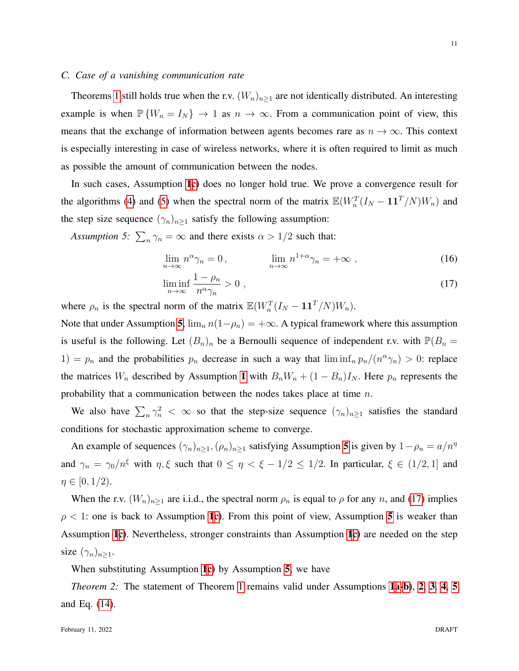#### *C. Case of a vanishing communication rate*

Theorems [1](#page-9-0) still holds true when the r.v.  $(W_n)_{n\geq 1}$  are not identically distributed. An interesting example is when  $\mathbb{P}\{W_n = I_N\} \to 1$  as  $n \to \infty$ . From a communication point of view, this means that the exchange of information between agents becomes rare as  $n \to \infty$ . This context is especially interesting in case of wireless networks, where it is often required to limit as much as possible the amount of communication between the nodes.

In such cases, Assumption [1](#page-5-0)[c\)](#page-5-2) does no longer hold true. We prove a convergence result for the algorithms [\(4\)](#page-4-1) and [\(5\)](#page-4-2) when the spectral norm of the matrix  $\mathbb{E}(W_n^T(I_N - 11^T/N)W_n)$  and the step size sequence  $(\gamma_n)_{n\geq 1}$  satisfy the following assumption:

Assumption 5:  $\sum_{n} \gamma_n = \infty$  and there exists  $\alpha > 1/2$  such that:

<span id="page-10-2"></span><span id="page-10-1"></span>
$$
\lim_{n \to \infty} n^{\alpha} \gamma_n = 0, \qquad \lim_{n \to \infty} n^{1+\alpha} \gamma_n = +\infty , \qquad (16)
$$

$$
\liminf_{n \to \infty} \frac{1 - \rho_n}{n^{\alpha} \gamma_n} > 0 , \qquad (17)
$$

where  $\rho_n$  is the spectral norm of the matrix  $\mathbb{E}(W_n^T(I_N - \mathbf{1} \mathbf{1}^T/N)W_n)$ .

Note that under Assumption [5](#page-10-1),  $\lim_{n} n(1-\rho_n) = +\infty$ . A typical framework where this assumption is useful is the following. Let  $(B_n)_n$  be a Bernoulli sequence of independent r.v. with  $\mathbb{P}(B_n =$ 1) =  $p_n$  and the probabilities  $p_n$  decrease in such a way that  $\liminf_n p_n/(n^{\alpha}\gamma_n) > 0$ : replace the matrices  $W_n$  described by Assumption [1](#page-5-0) with  $B_nW_n + (1 - B_n)I_N$ . Here  $p_n$  represents the probability that a communication between the nodes takes place at time n.

We also have  $\sum_n \gamma_n^2 < \infty$  so that the step-size sequence  $(\gamma_n)_{n \geq 1}$  satisfies the standard conditions for stochastic approximation scheme to converge.

An example of sequences  $(\gamma_n)_{n\geq 1}, (\rho_n)_{n\geq 1}$  satisfying Assumption [5](#page-10-1) is given by  $1-\rho_n = a/n^{\eta}$ and  $\gamma_n = \gamma_0/n^{\xi}$  with  $\eta, \xi$  such that  $0 \le \eta < \xi - 1/2 \le 1/2$ . In particular,  $\xi \in (1/2, 1]$  and  $\eta \in [0, 1/2).$ 

When the r.v.  $(W_n)_{n\geq 1}$  are i.i.d., the spectral norm  $\rho_n$  is equal to  $\rho$  for any n, and [\(17\)](#page-10-2) implies  $\rho$  < [1](#page-5-0): one is back to Assumption 1[c\)](#page-5-2). From this point of view, Assumption [5](#page-10-1) is weaker than Assumption [1](#page-5-0)[c\)](#page-5-2). Nevertheless, stronger constraints than Assumption [1](#page-5-0)[c\)](#page-5-2) are needed on the step size  $(\gamma_n)_{n>1}$ .

<span id="page-10-0"></span>When substituting Assumption [1](#page-5-0)[c\)](#page-5-2) by Assumption [5](#page-10-1), we have

*Theorem [2](#page-5-4):* The statement of Theorem [1](#page-9-0) remains valid under Assumptions [1](#page-5-0)[a](#page-5-1)[-b\)](#page-5-3), 2, [3](#page-8-1), [4](#page-9-2), [5](#page-10-1) and Eq. [\(14\)](#page-9-3).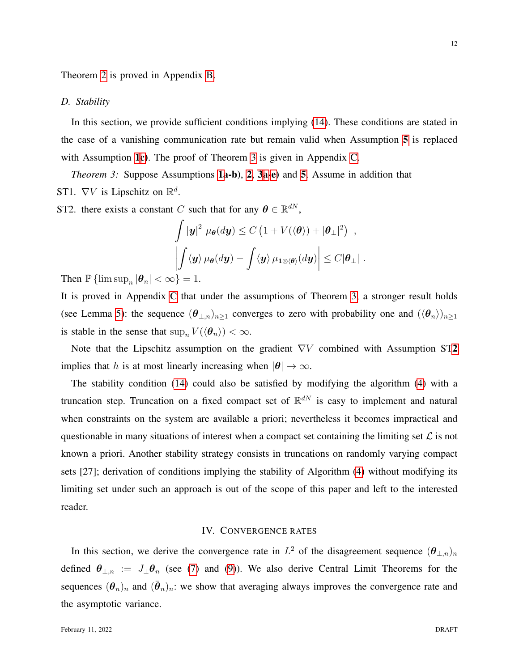Theorem [2](#page-10-0) is proved in Appendix [B.](#page-17-0)

#### *D. Stability*

In this section, we provide sufficient conditions implying [\(14\)](#page-9-3). These conditions are stated in the case of a vanishing communication rate but remain valid when Assumption [5](#page-10-1) is replaced with Assumption [1](#page-5-0)[c\)](#page-5-2). The proof of Theorem [3](#page-11-1) is given in Appendix [C.](#page-20-0)

<span id="page-11-3"></span><span id="page-11-1"></span>*Theorem [3](#page-8-1):* Suppose Assumptions **[1a](#page-5-0)-b**), [2](#page-5-4), 3[a](#page-8-4)[-e\)](#page-8-5) and [5](#page-10-1). Assume in addition that ST1.  $\nabla V$  is Lipschitz on  $\mathbb{R}^d$ .

<span id="page-11-2"></span>ST2. there exists a constant C such that for any  $\boldsymbol{\theta} \in \mathbb{R}^{dN}$ ,

$$
\int |\mathbf{y}|^2 \ \mu_{\boldsymbol{\theta}}(d\mathbf{y}) \leq C \left( 1 + V(\langle \boldsymbol{\theta} \rangle) + |\boldsymbol{\theta}_{\perp}|^2 \right) ,
$$

$$
\left| \int \langle \mathbf{y} \rangle \mu_{\boldsymbol{\theta}}(d\mathbf{y}) - \int \langle \mathbf{y} \rangle \mu_{1 \otimes \langle \boldsymbol{\theta} \rangle}(d\mathbf{y}) \right| \leq C |\boldsymbol{\theta}_{\perp}| .
$$

Then  $\mathbb{P} \{ \limsup_n |\theta_n| < \infty \} = 1$ .

It is proved in Appendix [C](#page-20-0) that under the assumptions of Theorem [3,](#page-11-1) a stronger result holds (see Lemma [5\)](#page-23-0): the sequence  $(\theta_{\perp,n})_{n\geq 1}$  converges to zero with probability one and  $(\langle \theta_n \rangle)_{n\geq 1}$ is stable in the sense that  $\sup_n V(\langle \theta_n \rangle) < \infty$ .

Note that the Lipschitz assumption on the gradient  $\nabla V$  combined with Assumption ST[2](#page-11-2) implies that h is at most linearly increasing when  $|\theta| \to \infty$ .

The stability condition [\(14\)](#page-9-3) could also be satisfied by modifying the algorithm [\(4\)](#page-4-1) with a truncation step. Truncation on a fixed compact set of  $\mathbb{R}^{dN}$  is easy to implement and natural when constraints on the system are available a priori; nevertheless it becomes impractical and questionable in many situations of interest when a compact set containing the limiting set  $\mathcal L$  is not known a priori. Another stability strategy consists in truncations on randomly varying compact sets [27]; derivation of conditions implying the stability of Algorithm [\(4\)](#page-4-1) without modifying its limiting set under such an approach is out of the scope of this paper and left to the interested reader.

## IV. CONVERGENCE RATES

<span id="page-11-0"></span>In this section, we derive the convergence rate in  $L^2$  of the disagreement sequence  $(\theta_{\perp,n})_n$ defined  $\theta_{\perp,n} := J_{\perp} \theta_n$  (see [\(7\)](#page-7-2) and [\(9\)](#page-7-3)). We also derive Central Limit Theorems for the sequences  $(\theta_n)_n$  and  $(\bar{\theta}_n)_n$ : we show that averaging always improves the convergence rate and the asymptotic variance.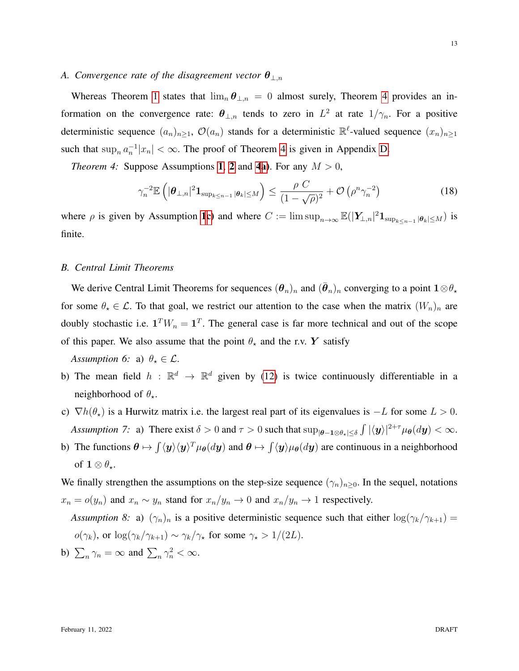#### *A. Convergence rate of the disagreement vector* θ<sup>⊥</sup>,n

Whereas Theorem [1](#page-9-0) states that  $\lim_{n} \theta_{\perp,n} = 0$  almost surely, Theorem [4](#page-12-1) provides an information on the convergence rate:  $\theta_{\perp,n}$  tends to zero in  $L^2$  at rate  $1/\gamma_n$ . For a positive deterministic sequence  $(a_n)_{n\geq 1}$ ,  $\mathcal{O}(a_n)$  stands for a deterministic  $\mathbb{R}^{\ell}$ -valued sequence  $(x_n)_{n\geq 1}$ such that  $\sup_n a_n^{-1}|x_n| < \infty$ . The proof of Theorem [4](#page-12-1) is given in Appendix [D.](#page-27-0)

*Theorem [4](#page-9-2):* Suppose Assumptions [1](#page-5-0), [2](#page-5-4) and 4[a\)](#page-9-4). For any  $M > 0$ ,

<span id="page-12-5"></span><span id="page-12-1"></span>
$$
\gamma_n^{-2} \mathbb{E}\left( |\boldsymbol{\theta}_{\perp,n}|^2 \mathbf{1}_{\sup_{k \le n-1} |\boldsymbol{\theta}_k| \le M} \right) \le \frac{\rho C}{(1 - \sqrt{\rho})^2} + \mathcal{O}\left(\rho^n \gamma_n^{-2}\right) \tag{18}
$$

where  $\rho$  is given by Assumption [1](#page-5-0)[c\)](#page-5-2) and where  $C := \limsup_{n \to \infty} \mathbb{E}(|Y_{\perp,n}|^2 \mathbf{1}_{\sup_{k \leq n-1} |\theta_k| \leq M})$  is finite.

## <span id="page-12-0"></span>*B. Central Limit Theorems*

We derive Central Limit Theorems for sequences  $(\theta_n)_n$  and  $(\bar{\theta}_n)_n$  converging to a point  $1 \otimes \theta_\star$ for some  $\theta_* \in \mathcal{L}$ . To that goal, we restrict our attention to the case when the matrix  $(W_n)_n$  are doubly stochastic i.e.  $\mathbf{1}^T W_n = \mathbf{1}^T$ . The general case is far more technical and out of the scope of this paper. We also assume that the point  $\theta_{\star}$  and the r.v. Y satisfy

*Assumption 6:* a)  $\theta_{\star} \in \mathcal{L}$ .

- b) The mean field  $h : \mathbb{R}^d \to \mathbb{R}^d$  given by [\(12\)](#page-8-0) is twice continuously differentiable in a neighborhood of  $\theta_{\star}$ .
- <span id="page-12-6"></span>c)  $\nabla h(\theta_{\star})$  is a Hurwitz matrix i.e. the largest real part of its eigenvalues is  $-L$  for some  $L > 0$ . Assumption 7: a) There exist  $\delta > 0$  and  $\tau > 0$  such that  $\sup_{|\theta - 1 \otimes \theta_{\star}| \le \delta} \int |\langle y \rangle|^{2+\tau} \mu_{\theta}(dy) < \infty$ .
- b) The functions  $\theta \mapsto \int \langle y \rangle \langle y \rangle^T \mu_{\theta}(dy)$  and  $\theta \mapsto \int \langle y \rangle \mu_{\theta}(dy)$  are continuous in a neighborhood of  $1 \otimes \theta_*$ .

We finally strengthen the assumptions on the step-size sequence  $(\gamma_n)_{n\geq 0}$ . In the sequel, notations  $x_n = o(y_n)$  and  $x_n \sim y_n$  stand for  $x_n/y_n \to 0$  and  $x_n/y_n \to 1$  respectively.

<span id="page-12-3"></span><span id="page-12-2"></span>*Assumption 8:* a)  $(\gamma_n)_n$  is a positive deterministic sequence such that either  $\log(\gamma_k/\gamma_{k+1}) =$  $o(\gamma_k)$ , or  $\log(\gamma_k/\gamma_{k+1}) \sim \gamma_k/\gamma_{\star}$  for some  $\gamma_{\star} > 1/(2L)$ .

<span id="page-12-7"></span><span id="page-12-4"></span>b) 
$$
\sum_n \gamma_n = \infty
$$
 and  $\sum_n \gamma_n^2 < \infty$ .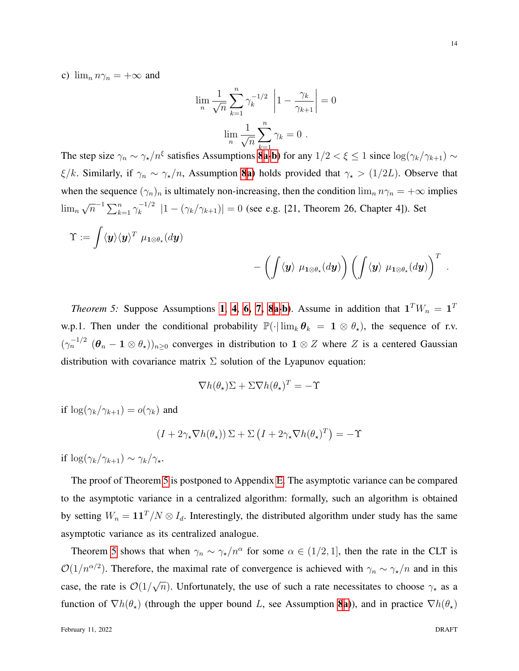c)  $\lim_{n} n\gamma_n = +\infty$  and

$$
\lim_{n} \frac{1}{\sqrt{n}} \sum_{k=1}^{n} \gamma_k^{-1/2} \left| 1 - \frac{\gamma_k}{\gamma_{k+1}} \right| = 0
$$

$$
\lim_{n} \frac{1}{\sqrt{n}} \sum_{k=1}^{n} \gamma_k = 0.
$$

The step size  $\gamma_n \sim \gamma_{\star}/n^{\xi}$  $\gamma_n \sim \gamma_{\star}/n^{\xi}$  $\gamma_n \sim \gamma_{\star}/n^{\xi}$  satisfies Assumptions **[8](#page-12-2)a-b**) for any  $1/2 < \xi \le 1$  since  $\log(\gamma_k/\gamma_{k+1}) \sim$  $\xi/k$ . Similarly, if  $\gamma_n \sim \gamma_{\star}/n$ , Assumption [8](#page-12-2)[a\)](#page-12-3) holds provided that  $\gamma_{\star} > (1/2L)$ . Observe that when the sequence  $(\gamma_n)_n$  is ultimately non-increasing, then the condition  $\lim_n n\gamma_n = +\infty$  implies  $\lim_{n} \sqrt{n}^{-1} \sum_{k=1}^{n} \gamma_k^{-1/2}$  $\binom{-1}{k} |1 - (\gamma_k/\gamma_{k+1})| = 0$  (see e.g. [21, Theorem 26, Chapter 4]). Set

$$
\Upsilon:=\int \langle \bm{y}\rangle \langle \bm{y}\rangle^T\ \mu_{\bm{1}\otimes \theta_\star}(d\bm{y})\\qquad \qquad \qquad -\left(\int \langle \bm{y}\rangle\ \mu_{\bm{1}\otimes \theta_\star}(d\bm{y})\right)\left(\int \langle \bm{y}\rangle\ \mu_{\bm{1}\otimes \theta_\star}(d\bm{y})\right)^T\ .
$$

<span id="page-13-0"></span>*Theorem 5:* Suppose Assumptions [1](#page-5-0), [4](#page-9-2), [6,](#page-12-5) [7,](#page-12-6) [8](#page-12-2)[a-](#page-12-3)[b\)](#page-12-4). Assume in addition that  $1^T W_n = 1^T$ w.p.1. Then under the conditional probability  $\mathbb{P}(\cdot | \lim_k \theta_k = 1 \otimes \theta_\star)$ , the sequence of r.v.  $(\gamma_n^{-1/2}$   $(\theta_n - 1 \otimes \theta_*)_{n \geq 0}$  converges in distribution to  $1 \otimes Z$  where Z is a centered Gaussian distribution with covariance matrix  $\Sigma$  solution of the Lyapunov equation:

$$
\nabla h(\theta_\star)\Sigma + \Sigma \nabla h(\theta_\star)^T = -\Upsilon
$$

if  $\log(\gamma_k/\gamma_{k+1}) = o(\gamma_k)$  and

$$
(I + 2\gamma_{\star} \nabla h(\theta_{\star})) \Sigma + \Sigma (I + 2\gamma_{\star} \nabla h(\theta_{\star})^{T}) = -\Upsilon
$$

if  $\log(\gamma_k/\gamma_{k+1}) \sim \gamma_k/\gamma_{\star}.$ 

The proof of Theorem [5](#page-13-0) is postponed to Appendix [E.](#page-27-1) The asymptotic variance can be compared to the asymptotic variance in a centralized algorithm: formally, such an algorithm is obtained by setting  $W_n = \mathbf{1}\mathbf{1}^T/N \otimes I_d$ . Interestingly, the distributed algorithm under study has the same asymptotic variance as its centralized analogue.

Theorem [5](#page-13-0) shows that when  $\gamma_n \sim \gamma_{\star}/n^{\alpha}$  for some  $\alpha \in (1/2, 1]$ , then the rate in the CLT is  $\mathcal{O}(1/n^{\alpha/2})$ . Therefore, the maximal rate of convergence is achieved with  $\gamma_n \sim \gamma_{\star}/n$  and in this case, the rate is  $\mathcal{O}(1/\sqrt{n})$ . Unfortunately, the use of such a rate necessitates to choose  $\gamma_{\star}$  as a function of  $\nabla h(\theta_{\star})$  (through the upper bound L, see Assumption [8](#page-12-2)[a\)](#page-12-3)), and in practice  $\nabla h(\theta_{\star})$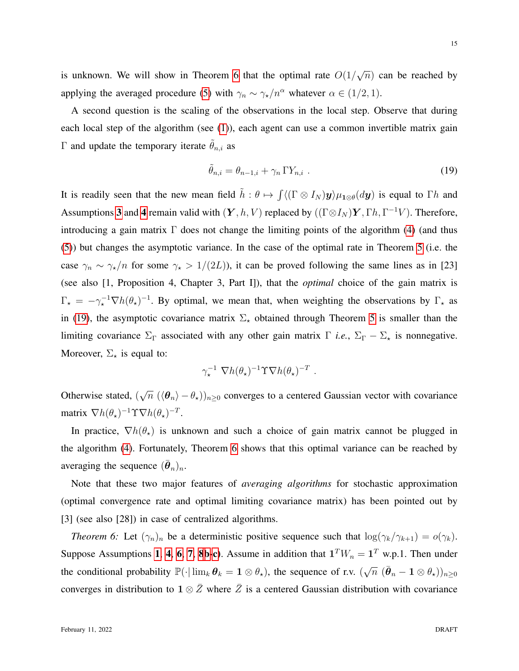is unknown. We will show in Theorem [6](#page-14-0) that the optimal rate  $O(1/\sqrt{n})$  can be reached by applying the averaged procedure [\(5\)](#page-4-2) with  $\gamma_n \sim \gamma_{\star}/n^{\alpha}$  whatever  $\alpha \in (1/2, 1)$ .

A second question is the scaling of the observations in the local step. Observe that during each local step of the algorithm (see [\(1\)](#page-1-0)), each agent can use a common invertible matrix gain Γ and update the temporary iterate  $θ_{n,i}$  as

<span id="page-14-1"></span>
$$
\tilde{\theta}_{n,i} = \theta_{n-1,i} + \gamma_n \Gamma Y_{n,i} \tag{19}
$$

It is readily seen that the new mean field  $\tilde{h}: \theta \mapsto \int \langle (\Gamma \otimes I_N) y \rangle \mu_{1 \otimes \theta}(dy)$  is equal to  $\Gamma h$  and Assumptions [3](#page-8-1) and [4](#page-9-2) remain valid with  $(Y, h, V)$  replaced by  $((\Gamma \otimes I_N)Y, \Gamma h, \Gamma^{-1}V)$ . Therefore, introducing a gain matrix  $\Gamma$  does not change the limiting points of the algorithm [\(4\)](#page-4-1) (and thus [\(5\)](#page-4-2)) but changes the asymptotic variance. In the case of the optimal rate in Theorem [5](#page-13-0) (i.e. the case  $\gamma_n \sim \gamma_{\star}/n$  for some  $\gamma_{\star} > 1/(2L)$ , it can be proved following the same lines as in [23] (see also [1, Proposition 4, Chapter 3, Part I]), that the *optimal* choice of the gain matrix is  $\Gamma_{\star} = -\gamma_{\star}^{-1} \nabla h(\theta_{\star})^{-1}$ . By optimal, we mean that, when weighting the observations by  $\Gamma_{\star}$  as in [\(19\)](#page-14-1), the asymptotic covariance matrix  $\Sigma_{\star}$  obtained through Theorem [5](#page-13-0) is smaller than the limiting covariance  $\Sigma_{\Gamma}$  associated with any other gain matrix  $\Gamma$  *i.e.*,  $\Sigma_{\Gamma} - \Sigma_{\star}$  is nonnegative. Moreover,  $\Sigma_{\star}$  is equal to:

<span id="page-14-0"></span>
$$
\gamma_\star^{-1} \nabla h(\theta_\star)^{-1} \Upsilon \nabla h(\theta_\star)^{-T} .
$$

Otherwise stated,  $(\sqrt{n} \, (\langle \theta_n \rangle - \theta_\star))_{n \geq 0}$  converges to a centered Gaussian vector with covariance matrix  $\nabla h(\theta_\star)^{-1} \Upsilon \nabla h(\theta_\star)^{-T}$ .

In practice,  $\nabla h(\theta_{\star})$  is unknown and such a choice of gain matrix cannot be plugged in the algorithm [\(4\)](#page-4-1). Fortunately, Theorem [6](#page-14-0) shows that this optimal variance can be reached by averaging the sequence  $(\bar{\boldsymbol{\theta}}_n)_n$ .

Note that these two major features of *averaging algorithms* for stochastic approximation (optimal convergence rate and optimal limiting covariance matrix) has been pointed out by [3] (see also [28]) in case of centralized algorithms.

*Theorem 6:* Let  $(\gamma_n)_n$  be a deterministic positive sequence such that  $\log(\gamma_k/\gamma_{k+1}) = o(\gamma_k)$ . Suppose Assumptions [1](#page-5-0), [4](#page-9-2), [6](#page-12-5), [7](#page-12-6), [8](#page-12-2)[b](#page-12-4)[-c\)](#page-12-7). Assume in addition that  $1^T W_n = 1^T$  w.p.1. Then under the conditional probability  $\mathbb{P}(\cdot | \lim_k \theta_k = 1 \otimes \theta_\star)$ , the sequence of r.v.  $(\sqrt{n} (\bar{\theta}_n - 1 \otimes \theta_\star))_{n \geq 0}$ converges in distribution to  $1 \otimes \overline{Z}$  where  $\overline{Z}$  is a centered Gaussian distribution with covariance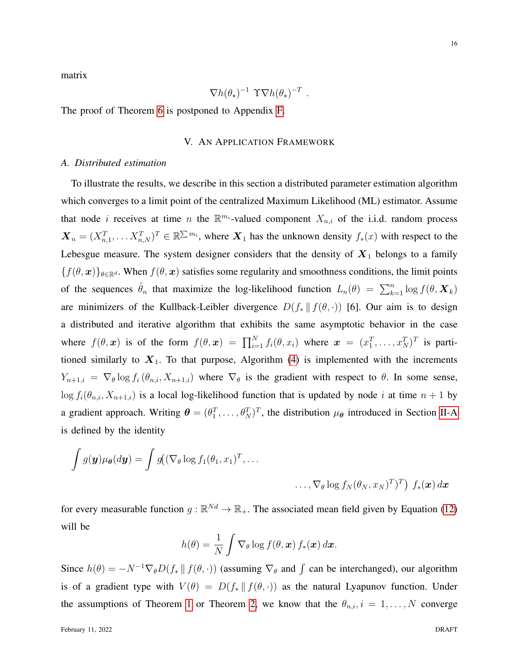matrix

$$
\nabla h(\theta_\star)^{-1} \ \Upsilon \nabla h(\theta_\star)^{-T} \ .
$$

<span id="page-15-0"></span>The proof of Theorem [6](#page-14-0) is postponed to Appendix [F.](#page-28-0)

# V. AN APPLICATION FRAMEWORK

#### *A. Distributed estimation*

To illustrate the results, we describe in this section a distributed parameter estimation algorithm which converges to a limit point of the centralized Maximum Likelihood (ML) estimator. Assume that node *i* receives at time *n* the  $\mathbb{R}^{m_i}$ -valued component  $X_{n,i}$  of the i.i.d. random process  $\mathbf{X}_n = (X_{n,1}^T, \dots X_{n,N}^T)^T \in \mathbb{R}^{\sum m_i}$ , where  $\mathbf{X}_1$  has the unknown density  $f_*(x)$  with respect to the Lebesgue measure. The system designer considers that the density of  $X_1$  belongs to a family  ${f(\theta, x)}_{\theta \in \mathbb{R}^d}$ . When  $f(\theta, x)$  satisfies some regularity and smoothness conditions, the limit points of the sequences  $\hat{\theta}_n$  that maximize the log-likelihood function  $L_n(\theta) = \sum_{k=1}^n \log f(\theta, \mathbf{X}_k)$ are minimizers of the Kullback-Leibler divergence  $D(f_* || f(\theta, \cdot))$  [6]. Our aim is to design a distributed and iterative algorithm that exhibits the same asymptotic behavior in the case where  $f(\theta, x)$  is of the form  $f(\theta, x) = \prod_{i=1}^{N} f_i(\theta, x_i)$  where  $x = (x_1^T, \dots, x_N^T)^T$  is partitioned similarly to  $X_1$ . To that purpose, Algorithm [\(4\)](#page-4-1) is implemented with the increments  $Y_{n+1,i} = \nabla_{\theta} \log f_i(\theta_{n,i}, X_{n+1,i})$  where  $\nabla_{\theta}$  is the gradient with respect to  $\theta$ . In some sense,  $\log f_i(\theta_{n,i}, X_{n+1,i})$  is a local log-likelihood function that is updated by node i at time  $n+1$  by a gradient approach. Writing  $\theta = (\theta_1^T, \dots, \theta_N^T)^T$ , the distribution  $\mu_{\theta}$  introduced in Section [II-A](#page-5-5) is defined by the identity

$$
\int g(\mathbf{y})\mu_{\theta}(d\mathbf{y}) = \int g((\nabla_{\theta} \log f_1(\theta_1, x_1)^T, \dots \dots, \nabla_{\theta} \log f_N(\theta_N, x_N)^T)^T) f_*(\mathbf{x}) d\mathbf{x}
$$

for every measurable function  $g : \mathbb{R}^{Nd} \to \mathbb{R}_+$ . The associated mean field given by Equation [\(12\)](#page-8-0) will be

$$
h(\theta) = \frac{1}{N} \int \nabla_{\theta} \log f(\theta, \boldsymbol{x}) f_{*}(\boldsymbol{x}) d\boldsymbol{x}.
$$

Since  $h(\theta) = -N^{-1} \nabla_{\theta} D(f_* || f(\theta, \cdot))$  (assuming  $\nabla_{\theta}$  and  $\int$  can be interchanged), our algorithm is of a gradient type with  $V(\theta) = D(f_* || f(\theta, \cdot))$  as the natural Lyapunov function. Under the assumptions of Theorem [1](#page-9-0) or Theorem [2,](#page-10-0) we know that the  $\theta_{n,i}$ ,  $i = 1, \ldots, N$  converge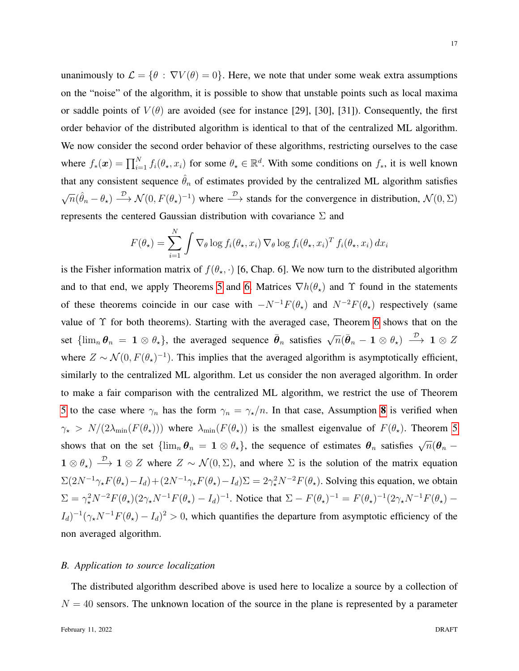unanimously to  $\mathcal{L} = \{\theta : \nabla V(\theta) = 0\}$ . Here, we note that under some weak extra assumptions on the "noise" of the algorithm, it is possible to show that unstable points such as local maxima or saddle points of  $V(\theta)$  are avoided (see for instance [29], [30], [31]). Consequently, the first order behavior of the distributed algorithm is identical to that of the centralized ML algorithm. We now consider the second order behavior of these algorithms, restricting ourselves to the case where  $f_*(x) = \prod_{i=1}^N f_i(\theta_\star, x_i)$  for some  $\theta_\star \in \mathbb{R}^d$ . With some conditions on  $f_*,$  it is well known that any consistent sequence  $\hat{\theta}_n$  of estimates provided by the centralized ML algorithm satisfies  $\sqrt{n}(\hat{\theta}_n - \theta_\star) \stackrel{\mathcal{D}}{\longrightarrow} \mathcal{N}(0, F(\theta_\star)^{-1})$  where  $\stackrel{\mathcal{D}}{\longrightarrow}$  stands for the convergence in distribution,  $\mathcal{N}(0, \Sigma)$ represents the centered Gaussian distribution with covariance  $\Sigma$  and

$$
F(\theta_\star) = \sum_{i=1}^N \int \nabla_\theta \log f_i(\theta_\star, x_i) \nabla_\theta \log f_i(\theta_\star, x_i)^T f_i(\theta_\star, x_i) dx_i
$$

is the Fisher information matrix of  $f(\theta_\star, \cdot)$  [6, Chap. 6]. We now turn to the distributed algorithm and to that end, we apply Theorems [5](#page-13-0) and [6.](#page-14-0) Matrices  $\nabla h(\theta_{\star})$  and  $\Upsilon$  found in the statements of these theorems coincide in our case with  $-N^{-1}F(\theta_{\star})$  and  $N^{-2}F(\theta_{\star})$  respectively (same value of Υ for both theorems). Starting with the averaged case, Theorem [6](#page-14-0) shows that on the set  $\{\lim_n\theta_n = 1 \otimes \theta_\star\}$ , the averaged sequence  $\bar{\theta}_n$  satisfies  $\sqrt{n}(\bar{\theta}_n - 1 \otimes \theta_\star) \stackrel{\mathcal{D}}{\longrightarrow} 1 \otimes Z$ where  $Z \sim \mathcal{N}(0, F(\theta_\star)^{-1})$ . This implies that the averaged algorithm is asymptotically efficient, similarly to the centralized ML algorithm. Let us consider the non averaged algorithm. In order to make a fair comparison with the centralized ML algorithm, we restrict the use of Theorem [5](#page-13-0) to the case where  $\gamma_n$  has the form  $\gamma_n = \gamma_{\star}/n$ . In that case, Assumption [8](#page-12-2) is verified when  $\gamma_{\star} > N/(2\lambda_{\min}(F(\theta_{\star})))$  where  $\lambda_{\min}(F(\theta_{\star}))$  is the smallest eigenvalue of  $F(\theta_{\star})$ . Theorem [5](#page-13-0) shows that on the set  $\{\lim_n \theta_n = 1 \otimes \theta_\star\}$ , the sequence of estimates  $\theta_n$  satisfies  $\sqrt{n}(\theta_n 1 \otimes \theta_{\star}$ )  $\longrightarrow$   $1 \otimes Z$  where  $Z \sim \mathcal{N}(0, \Sigma)$ , and where  $\Sigma$  is the solution of the matrix equation  $\Sigma(2N^{-1}\gamma_{\star}F(\theta_{\star})-I_d) + (2N^{-1}\gamma_{\star}F(\theta_{\star})-I_d)\Sigma = 2\gamma_{\star}^2N^{-2}F(\theta_{\star})$ . Solving this equation, we obtain  $\Sigma = \gamma_\star^2 N^{-2} F(\theta_\star) (2\gamma_\star N^{-1} F(\theta_\star) - I_d)^{-1}$ . Notice that  $\Sigma - F(\theta_\star)^{-1} = F(\theta_\star)^{-1} (2\gamma_\star N^{-1} F(\theta_\star) - I_d)^{-1}$  $(I_d)^{-1}(\gamma_\star N^{-1}F(\theta_\star) - I_d)^2 > 0$ , which quantifies the departure from asymptotic efficiency of the non averaged algorithm.

## *B. Application to source localization*

The distributed algorithm described above is used here to localize a source by a collection of  $N = 40$  sensors. The unknown location of the source in the plane is represented by a parameter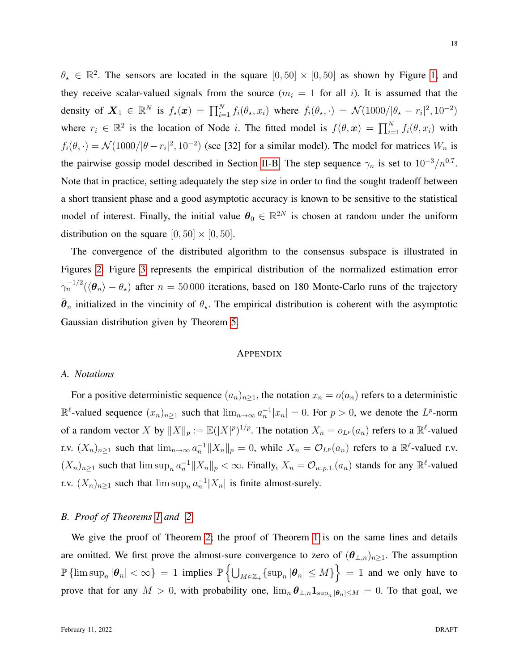$\theta_{\star} \in \mathbb{R}^{2}$ . The sensors are located in the square  $[0, 50] \times [0, 50]$  as shown by Figure [1,](#page-32-0) and they receive scalar-valued signals from the source  $(m_i = 1$  for all i). It is assumed that the density of  $\mathbf{X}_1 \in \mathbb{R}^N$  is  $f_\star(\boldsymbol{x}) = \prod_{i=1}^N f_i(\theta_\star, x_i)$  where  $f_i(\theta_\star, \cdot) = \mathcal{N}(1000/|\theta_\star - r_i|^2, 10^{-2})$ where  $r_i \in \mathbb{R}^2$  is the location of Node *i*. The fitted model is  $f(\theta, x) = \prod_{i=1}^N f_i(\theta, x_i)$  with  $f_i(\theta, \cdot) = \mathcal{N}(1000/|\theta - r_i|^2, 10^{-2})$  (see [32] for a similar model). The model for matrices  $W_n$  is the pairwise gossip model described in Section [II-B.](#page-6-0) The step sequence  $\gamma_n$  is set to  $10^{-3}/n^{0.7}$ . Note that in practice, setting adequately the step size in order to find the sought tradeoff between a short transient phase and a good asymptotic accuracy is known to be sensitive to the statistical model of interest. Finally, the initial value  $\theta_0 \in \mathbb{R}^{2N}$  is chosen at random under the uniform distribution on the square  $[0, 50] \times [0, 50]$ .

The convergence of the distributed algorithm to the consensus subspace is illustrated in Figures [2.](#page-32-1) Figure [3](#page-33-0) represents the empirical distribution of the normalized estimation error  $\gamma_n^{-1/2}(\langle \theta_n \rangle - \theta_\star)$  after  $n = 50000$  iterations, based on 180 Monte-Carlo runs of the trajectory  $\bar{\theta}_n$  initialized in the vincinity of  $\theta_{\star}$ . The empirical distribution is coherent with the asymptotic Gaussian distribution given by Theorem [5.](#page-13-0)

#### APPENDIX

#### *A. Notations*

For a positive deterministic sequence  $(a_n)_{n\geq 1}$ , the notation  $x_n = o(a_n)$  refers to a deterministic  $\mathbb{R}^{\ell}$ -valued sequence  $(x_n)_{n\geq 1}$  such that  $\lim_{n\to\infty} a_n^{-1}|x_n|=0$ . For  $p>0$ , we denote the  $L^p$ -norm of a random vector X by  $||X||_p := \mathbb{E}(|X|^p)^{1/p}$ . The notation  $X_n = o_{L^p}(a_n)$  refers to a  $\mathbb{R}^{\ell}$ -valued r.v.  $(X_n)_{n\geq 1}$  such that  $\lim_{n\to\infty} a_n^{-1} ||X_n||_p = 0$ , while  $X_n = \mathcal{O}_{L^p}(a_n)$  refers to a  $\mathbb{R}^{\ell}$ -valued r.v.  $(X_n)_{n\geq 1}$  such that  $\limsup_n a_n^{-1} ||X_n||_p < \infty$ . Finally,  $X_n = \mathcal{O}_{w.p.1.}(a_n)$  stands for any  $\mathbb{R}^{\ell}$ -valued r.v.  $(X_n)_{n\geq 1}$  such that  $\limsup_n a_n^{-1}|X_n|$  is finite almost-surely.

## <span id="page-17-0"></span>*B. Proof of Theorems [1](#page-9-0) and [2](#page-10-0)*

We give the proof of Theorem [2;](#page-10-0) the proof of Theorem [1](#page-9-0) is on the same lines and details are omitted. We first prove the almost-sure convergence to zero of  $(\theta_{\perp,n})_{n\geq 1}$ . The assumption  $\mathbb{P}\left\{\limsup_n|\boldsymbol{\theta}_n|<\infty\right\}\ =\ 1$  implies  $\mathbb{P}\left\{\bigcup_{M\in\mathbb{Z}_+}\{\sup_n|\boldsymbol{\theta}_n|\leq M\}\right\}\ =\ 1$  and we only have to prove that for any  $M > 0$ , with probability one,  $\lim_{n} \theta_{\perp,n} 1_{\sup_n |\theta_n| \le M} = 0$ . To that goal, we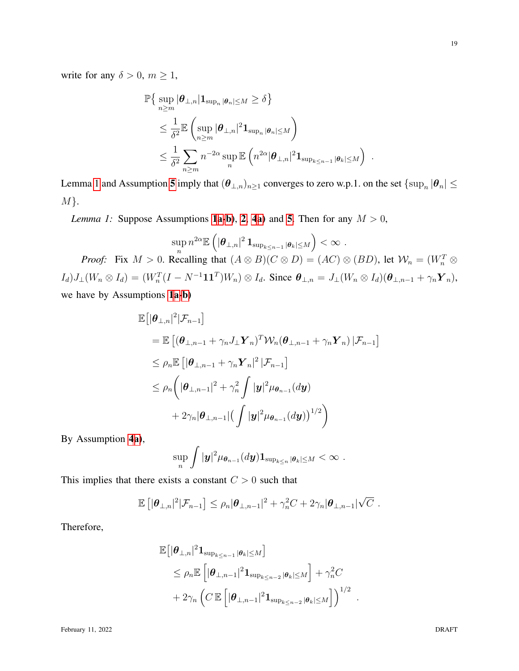write for any  $\delta > 0$ ,  $m \ge 1$ ,

$$
\mathbb{P}\left\{\sup_{n\geq m}|\boldsymbol{\theta}_{\perp,n}|\mathbf{1}_{\sup_n|\boldsymbol{\theta}_n|\leq M}\geq \delta\right\}
$$
  
\n
$$
\leq \frac{1}{\delta^2}\mathbb{E}\left(\sup_{n\geq m}|\boldsymbol{\theta}_{\perp,n}|^2\mathbf{1}_{\sup_n|\boldsymbol{\theta}_n|\leq M}\right)
$$
  
\n
$$
\leq \frac{1}{\delta^2}\sum_{n\geq m}n^{-2\alpha}\sup_n\mathbb{E}\left(n^{2\alpha}|\boldsymbol{\theta}_{\perp,n}|^2\mathbf{1}_{\sup_{k\leq n-1}|\boldsymbol{\theta}_k|\leq M}\right).
$$

<span id="page-18-0"></span>Lemma [1](#page-18-0) and Assumption [5](#page-10-1) imply that  $(\bm{\theta}_{\perp,n})_{n\geq 1}$  converges to zero w.p.1. on the set  $\{\sup_n|\bm{\theta}_n|\leq 1\}$  $M$ .

*Lemma [1](#page-5-0):* Suppose Assumptions **1[a-](#page-5-1)b**), **[2](#page-5-4)**, **[4](#page-9-2)a**) and **[5](#page-10-1)**. Then for any  $M > 0$ ,

$$
\sup_n n^{2\alpha} \mathbb{E}\left(|\boldsymbol{\theta}_{\perp,n}|^2\,\mathbf{1}_{\sup_{k\leq n-1}|\boldsymbol{\theta}_k|\leq M}\right)<\infty\,.
$$

*Proof:* Fix  $M > 0$ . Recalling that  $(A \otimes B)(C \otimes D) = (AC) \otimes (BD)$ , let  $W_n = (W_n^T \otimes$  $I_d$ ) $J_\perp (W_n \otimes I_d) = (W_n^T (I - N^{-1} \mathbf{1} \mathbf{1}^T) W_n) \otimes I_d$ . Since  $\boldsymbol{\theta}_{\perp,n} = J_\perp (W_n \otimes I_d) (\boldsymbol{\theta}_{\perp,n-1} + \gamma_n \mathbf{Y}_n)$ , we have by Assumptions [1](#page-5-0)[a](#page-5-1)[-b\)](#page-5-3)

$$
\begin{aligned} &\mathbb{E}\big[|\boldsymbol{\theta}_{\perp,n}|^2|\mathcal{F}_{n-1}\big] \\ &= \mathbb{E}\left[(\boldsymbol{\theta}_{\perp,n-1}+\gamma_n J_{\perp}\boldsymbol{Y}_n)^T \mathcal{W}_n(\boldsymbol{\theta}_{\perp,n-1}+\gamma_n \boldsymbol{Y}_n)\,|\mathcal{F}_{n-1}\right] \\ &\leq \rho_n \mathbb{E}\left[|\boldsymbol{\theta}_{\perp,n-1}+\gamma_n \boldsymbol{Y}_n|^2\,|\mathcal{F}_{n-1}\right] \\ &\leq \rho_n \bigg(|\boldsymbol{\theta}_{\perp,n-1}|^2+\gamma_n^2\int |\boldsymbol{y}|^2\mu_{\boldsymbol{\theta}_{n-1}}(d\boldsymbol{y}) \\ &+2\gamma_n |\boldsymbol{\theta}_{\perp,n-1}| \big(\int |\boldsymbol{y}|^2\mu_{\boldsymbol{\theta}_{n-1}}(d\boldsymbol{y})\big)^{1/2}\bigg) \end{aligned}
$$

By Assumption [4](#page-9-2)[a\)](#page-9-4),

$$
\sup_n \int |{\boldsymbol y}|^2 {\mu}_{\boldsymbol{\theta}_{n-1}}(d{\boldsymbol y})\mathbf{1}_{\sup_{k\leq n}|\boldsymbol{\theta}_k|\leq M}<\infty\;.
$$

This implies that there exists a constant  $C > 0$  such that

$$
\mathbb{E}\left[|\boldsymbol{\theta}_{\perp,n}|^2|\mathcal{F}_{n-1}\right] \leq \rho_n|\boldsymbol{\theta}_{\perp,n-1}|^2 + \gamma_n^2C + 2\gamma_n|\boldsymbol{\theta}_{\perp,n-1}|\sqrt{C}.
$$

Therefore,

$$
\mathbb{E}[\|\boldsymbol{\theta}_{\perp,n}|^{2}\mathbf{1}_{\sup_{k\leq n-1}|\boldsymbol{\theta}_{k}|\leq M}]
$$
  
\$\leq \rho\_{n}\mathbb{E}[\|\boldsymbol{\theta}\_{\perp,n-1}|^{2}\mathbf{1}\_{\sup\_{k\leq n-2}|\boldsymbol{\theta}\_{k}|\leq M}]+\gamma\_{n}^{2}C\$  
+2\gamma\_{n} \left(C\mathbb{E}[\|\boldsymbol{\theta}\_{\perp,n-1}|^{2}\mathbf{1}\_{\sup\_{k\leq n-2}|\boldsymbol{\theta}\_{k}|\leq M}]\right)^{1/2}\$

.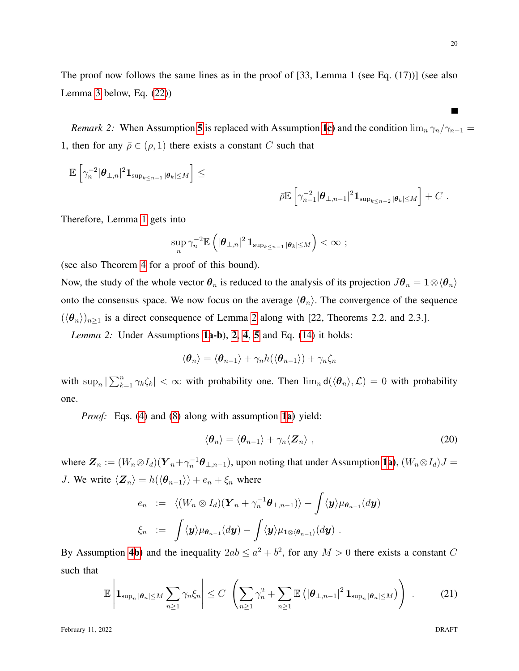*Remark 2:* When Assumption [5](#page-10-1) is replaced with Assumption [1](#page-5-0)[c\)](#page-5-2) and the condition  $\lim_{n} \gamma_n / \gamma_{n-1} =$ 1, then for any  $\bar{\rho} \in (\rho, 1)$  there exists a constant C such that

$$
\mathbb{E}\left[\gamma_n^{-2}|\boldsymbol{\theta}_{\perp,n}|^2{\bf 1}_{\sup_{k\leq n-1}|\boldsymbol{\theta}_k|\leq M}\right]\leq
$$

$$
\bar{\rho} \mathbb{E} \left[ \gamma_{n-1}^{-2} |\boldsymbol{\theta}_{\perp,n-1}|^2 \mathbf{1}_{\sup_{k \leq n-2} |\boldsymbol{\theta}_k| \leq M} \right] + C \; .
$$

Therefore, Lemma [1](#page-18-0) gets into

$$
\sup_n \gamma_n^{-2} \mathbb{E} \left( |\boldsymbol{\theta}_{\perp,n}|^2 \mathbf{1}_{\sup_{k \leq n-1} |\boldsymbol{\theta}_k| \leq M} \right) < \infty ;
$$

(see also Theorem [4](#page-12-1) for a proof of this bound).

Now, the study of the whole vector  $\theta_n$  is reduced to the analysis of its projection  $J\theta_n = 1 \otimes \langle \theta_n \rangle$ onto the consensus space. We now focus on the average  $\langle \theta_n \rangle$ . The convergence of the sequence  $(\langle \theta_n \rangle)_{n \geq 1}$  is a direct consequence of Lemma [2](#page-19-0) along with [22, Theorems 2.2. and 2.3.].

<span id="page-19-0"></span>*Lemma 2:* Under Assumptions [1a](#page-5-0)-b), [2](#page-5-4), [4](#page-9-2), [5](#page-10-1) and Eq. [\(14\)](#page-9-3) it holds:

$$
\langle \boldsymbol{\theta}_n \rangle = \langle \boldsymbol{\theta}_{n-1} \rangle + \gamma_n h(\langle \boldsymbol{\theta}_{n-1} \rangle) + \gamma_n \zeta_n
$$

with  $\sup_n |\sum_{k=1}^n \gamma_k \zeta_k| < \infty$  with probability one. Then  $\lim_n d(\langle \theta_n \rangle, \mathcal{L}) = 0$  with probability one.

*Proof:* Eqs. [\(4\)](#page-4-1) and [\(8\)](#page-7-4) along with assumption [1](#page-5-0)[a\)](#page-5-1) yield:

$$
\langle \boldsymbol{\theta}_n \rangle = \langle \boldsymbol{\theta}_{n-1} \rangle + \gamma_n \langle \boldsymbol{Z}_n \rangle \;, \tag{20}
$$

where  $\mathbf{Z}_n := (W_n \otimes I_d)(\mathbf{Y}_n + \gamma_n^{-1} \boldsymbol{\theta}_{\perp,n-1})$  $\mathbf{Z}_n := (W_n \otimes I_d)(\mathbf{Y}_n + \gamma_n^{-1} \boldsymbol{\theta}_{\perp,n-1})$  $\mathbf{Z}_n := (W_n \otimes I_d)(\mathbf{Y}_n + \gamma_n^{-1} \boldsymbol{\theta}_{\perp,n-1})$ , upon noting that under Assumption 1[a\)](#page-5-1),  $(W_n \otimes I_d)J =$ J. We write  $\langle \mathbf{Z}_n \rangle = h(\langle \boldsymbol{\theta}_{n-1} \rangle) + e_n + \xi_n$  where

$$
e_n := \langle (W_n \otimes I_d)(\boldsymbol{Y}_n + \gamma_n^{-1} \boldsymbol{\theta}_{\perp, n-1}) \rangle - \int \langle \boldsymbol{y} \rangle \mu_{\boldsymbol{\theta}_{n-1}}(d\boldsymbol{y})
$$
  

$$
\xi_n := \int \langle \boldsymbol{y} \rangle \mu_{\boldsymbol{\theta}_{n-1}}(d\boldsymbol{y}) - \int \langle \boldsymbol{y} \rangle \mu_{\boldsymbol{1} \otimes \langle \boldsymbol{\theta}_{n-1} \rangle}(d\boldsymbol{y}).
$$

By Assumption [4](#page-9-2)[b\)](#page-9-5) and the inequality  $2ab \le a^2 + b^2$ , for any  $M > 0$  there exists a constant C such that

<span id="page-19-1"></span>
$$
\mathbb{E}\left|\mathbf{1}_{\sup_n|\boldsymbol{\theta}_n|\leq M}\sum_{n\geq 1}\gamma_n\xi_n\right|\leq C\left(\sum_{n\geq 1}\gamma_n^2+\sum_{n\geq 1}\mathbb{E}\left(|\boldsymbol{\theta}_{\perp,n-1}|^2\,\mathbf{1}_{\sup_n|\boldsymbol{\theta}_n|\leq M}\right)\right)\right.\tag{21}
$$

February 11, 2022 DRAFT

 $\blacksquare$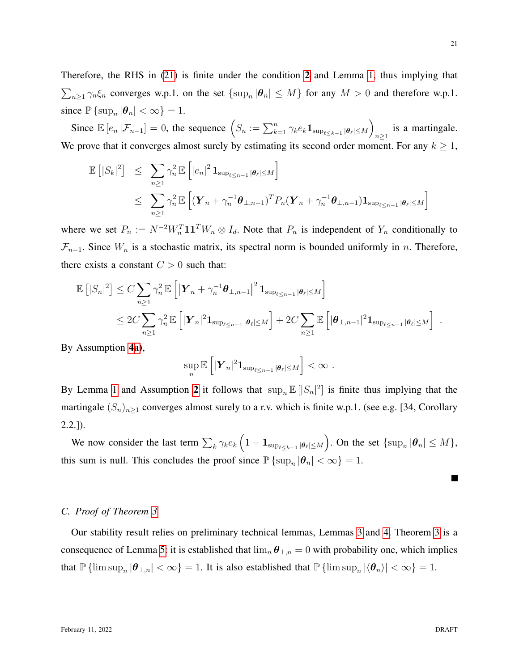Therefore, the RHS in [\(21\)](#page-19-1) is finite under the condition [2](#page-5-4) and Lemma [1,](#page-18-0) thus implying that  $\sum_{n\geq 1} \gamma_n \xi_n$  converges w.p.1. on the set  $\{\sup_n |\theta_n| \leq M\}$  for any  $M > 0$  and therefore w.p.1. since  $\mathbb{P} \left\{ \sup_n |\theta_n| < \infty \right\} = 1.$ 

Since  $\mathbb{E}[e_n | \mathcal{F}_{n-1}] = 0$ , the sequence  $(S_n := \sum_{k=1}^n \gamma_k e_k \mathbf{1}_{\sup_{\ell \leq k-1} |\theta_\ell| \leq M})$ is a martingale. We prove that it converges almost surely by estimating its second order moment. For any  $k \geq 1$ ,

$$
\mathbb{E} [|S_k|^2] \leq \sum_{n\geq 1} \gamma_n^2 \mathbb{E} \left[ |e_n|^2 \mathbf{1}_{\sup_{\ell \leq n-1} |\theta_\ell| \leq M} \right]
$$
  

$$
\leq \sum_{n\geq 1} \gamma_n^2 \mathbb{E} \left[ (\mathbf{Y}_n + \gamma_n^{-1} \boldsymbol{\theta}_{\perp,n-1})^T P_n (\mathbf{Y}_n + \gamma_n^{-1} \boldsymbol{\theta}_{\perp,n-1}) \mathbf{1}_{\sup_{\ell \leq n-1} |\theta_\ell| \leq M} \right]
$$

where we set  $P_n := N^{-2}W_n^T \mathbf{1}\mathbf{1}^T W_n \otimes I_d$ . Note that  $P_n$  is independent of  $Y_n$  conditionally to  $\mathcal{F}_{n-1}$ . Since  $W_n$  is a stochastic matrix, its spectral norm is bounded uniformly in n. Therefore, there exists a constant  $C > 0$  such that:

$$
\mathbb{E}\left[|S_n|^2\right] \leq C \sum_{n\geq 1} \gamma_n^2 \mathbb{E}\left[\left|\boldsymbol{Y}_n + \gamma_n^{-1}\boldsymbol{\theta}_{\perp,n-1}\right|^2 \mathbf{1}_{\sup_{\ell \leq n-1}|\boldsymbol{\theta}_{\ell}| \leq M}\right] \n\leq 2C \sum_{n\geq 1} \gamma_n^2 \mathbb{E}\left[\left|\boldsymbol{Y}_n\right|^2 \mathbf{1}_{\sup_{\ell \leq n-1}|\boldsymbol{\theta}_{\ell}| \leq M}\right] + 2C \sum_{n\geq 1} \mathbb{E}\left[|\boldsymbol{\theta}_{\perp,n-1}|^2 \mathbf{1}_{\sup_{\ell \leq n-1}|\boldsymbol{\theta}_{\ell}| \leq M}\right]
$$

By Assumption [4](#page-9-2)[a\)](#page-9-4),

$$
\sup_n \mathbb{E}\left[|\boldsymbol{Y}_n|^2\mathbf{1}_{\sup_{\ell \leq n-1} |\boldsymbol{\theta}_{\ell}| \leq M}\right] < \infty.
$$

By Lemma [1](#page-18-0) and Assumption [2](#page-5-4) it follows that  $\sup_n \mathbb{E} [|S_n|^2]$  is finite thus implying that the martingale  $(S_n)_{n\geq 1}$  converges almost surely to a r.v. which is finite w.p.1. (see e.g. [34, Corollary 2.2.]).

We now consider the last term  $\sum_{k} \gamma_k e_k \left(1 - \mathbf{1}_{\sup_{\ell \le k-1} |\theta_\ell| \le M} \right)$ . On the set  $\{\sup_n |\theta_n| \le M\}$ , this sum is null. This concludes the proof since  $\mathbb{P} \{ \sup_n |\theta_n| < \infty \} = 1$ .

## <span id="page-20-0"></span>*C. Proof of Theorem [3](#page-11-1)*

Our stability result relies on preliminary technical lemmas, Lemmas [3](#page-20-1) and [4.](#page-22-0) Theorem [3](#page-11-1) is a consequence of Lemma [5:](#page-23-0) it is established that  $\lim_{n} \theta_{\perp,n} = 0$  with probability one, which implies that  $\mathbb{P} \{ \limsup_n |\theta_{\perp,n}| < \infty \} = 1$ . It is also established that  $\mathbb{P} \{ \limsup_n |\langle \theta_n \rangle| < \infty \} = 1$ .

<span id="page-20-1"></span>**The Second Service** 

.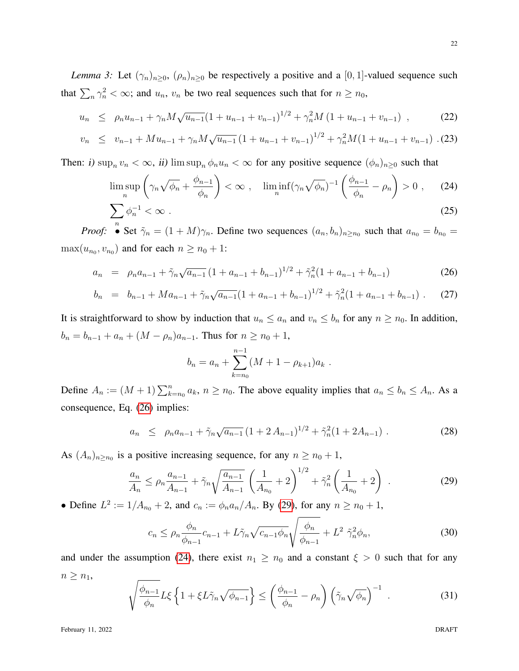*Lemma 3:* Let  $(\gamma_n)_{n\geq 0}$ ,  $(\rho_n)_{n\geq 0}$  be respectively a positive and a [0, 1]-valued sequence such that  $\sum_{n} \gamma_n^2 < \infty$ ; and  $u_n$ ,  $v_n$  be two real sequences such that for  $n \ge n_0$ ,

<span id="page-21-0"></span>
$$
u_n \le \rho_n u_{n-1} + \gamma_n M \sqrt{u_{n-1}} (1 + u_{n-1} + v_{n-1})^{1/2} + \gamma_n^2 M (1 + u_{n-1} + v_{n-1}) , \qquad (22)
$$

$$
v_n \leq v_{n-1} + Mu_{n-1} + \gamma_n M \sqrt{u_{n-1}} \left( 1 + u_{n-1} + v_{n-1} \right)^{1/2} + \gamma_n^2 M (1 + u_{n-1} + v_{n-1}) \tag{23}
$$

Then: i)  $\sup_n v_n < \infty$ , ii)  $\limsup_n \phi_n u_n < \infty$  for any positive sequence  $(\phi_n)_{n\geq 0}$  such that

$$
\limsup_{n} \left( \gamma_n \sqrt{\phi_n} + \frac{\phi_{n-1}}{\phi_n} \right) < \infty \;, \quad \liminf_{n} (\gamma_n \sqrt{\phi_n})^{-1} \left( \frac{\phi_{n-1}}{\phi_n} - \rho_n \right) > 0 \;, \tag{24}
$$
\n
$$
\sum \phi_n^{-1} < \infty \; . \tag{25}
$$

<span id="page-21-3"></span>
$$
\sum_{n} \phi_n^{-1} < \infty \tag{25}
$$
\n*Proof:* 
$$
\bullet \text{ Set } \tilde{\gamma}_n = (1 + M)\gamma_n. \text{ Define two sequences } (a_n, b_n)_{n \ge n_0} \text{ such that } a_{n_0} = b_{n_0} = 0
$$

*Proof:* • Set  $\tilde{\gamma}_n = (1 + M)\gamma_n$ . Define two sequences  $(a_n, b_n)_{n \ge n_0}$  $\max(u_{n_0}, v_{n_0})$  and for each  $n \ge n_0 + 1$ :

<span id="page-21-1"></span>
$$
a_n = \rho_n a_{n-1} + \tilde{\gamma}_n \sqrt{a_{n-1}} \left( 1 + a_{n-1} + b_{n-1} \right)^{1/2} + \tilde{\gamma}_n^2 \left( 1 + a_{n-1} + b_{n-1} \right) \tag{26}
$$

$$
b_n = b_{n-1} + Ma_{n-1} + \tilde{\gamma}_n \sqrt{a_{n-1}} (1 + a_{n-1} + b_{n-1})^{1/2} + \tilde{\gamma}_n^2 (1 + a_{n-1} + b_{n-1}) \ . \tag{27}
$$

It is straightforward to show by induction that  $u_n \le a_n$  and  $v_n \le b_n$  for any  $n \ge n_0$ . In addition,  $b_n = b_{n-1} + a_n + (M - \rho_n)a_{n-1}$ . Thus for  $n \ge n_0 + 1$ ,

$$
b_n = a_n + \sum_{k=n_0}^{n-1} (M + 1 - \rho_{k+1}) a_k.
$$

Define  $A_n := (M + 1) \sum_{k=n_0}^{n} a_k$ ,  $n \ge n_0$ . The above equality implies that  $a_n \le b_n \le A_n$ . As a consequence, Eq. [\(26\)](#page-21-1) implies:

<span id="page-21-6"></span>
$$
a_n \le \rho_n a_{n-1} + \tilde{\gamma}_n \sqrt{a_{n-1}} \left( 1 + 2 A_{n-1} \right)^{1/2} + \tilde{\gamma}_n^2 \left( 1 + 2 A_{n-1} \right) \,. \tag{28}
$$

As  $(A_n)_{n \ge n_0}$  is a positive increasing sequence, for any  $n \ge n_0 + 1$ ,

<span id="page-21-2"></span>
$$
\frac{a_n}{A_n} \le \rho_n \frac{a_{n-1}}{A_{n-1}} + \tilde{\gamma}_n \sqrt{\frac{a_{n-1}}{A_{n-1}}} \left( \frac{1}{A_{n_0}} + 2 \right)^{1/2} + \tilde{\gamma}_n^2 \left( \frac{1}{A_{n_0}} + 2 \right) \ . \tag{29}
$$

• Define  $L^2 := 1/A_{n_0} + 2$ , and  $c_n := \phi_n a_n/A_n$ . By [\(29\)](#page-21-2), for any  $n \ge n_0 + 1$ ,

<span id="page-21-4"></span>
$$
c_n \le \rho_n \frac{\phi_n}{\phi_{n-1}} c_{n-1} + L\tilde{\gamma}_n \sqrt{c_{n-1}\phi_n} \sqrt{\frac{\phi_n}{\phi_{n-1}}} + L^2 \tilde{\gamma}_n^2 \phi_n, \tag{30}
$$

and under the assumption [\(24\)](#page-21-3), there exist  $n_1 \ge n_0$  and a constant  $\xi > 0$  such that for any  $n \geq n_1$ ,

<span id="page-21-5"></span>
$$
\sqrt{\frac{\phi_{n-1}}{\phi_n}} L \xi \left\{ 1 + \xi L \tilde{\gamma}_n \sqrt{\phi_{n-1}} \right\} \le \left( \frac{\phi_{n-1}}{\phi_n} - \rho_n \right) \left( \tilde{\gamma}_n \sqrt{\phi_n} \right)^{-1} . \tag{31}
$$

February 11, 2022 DRAFT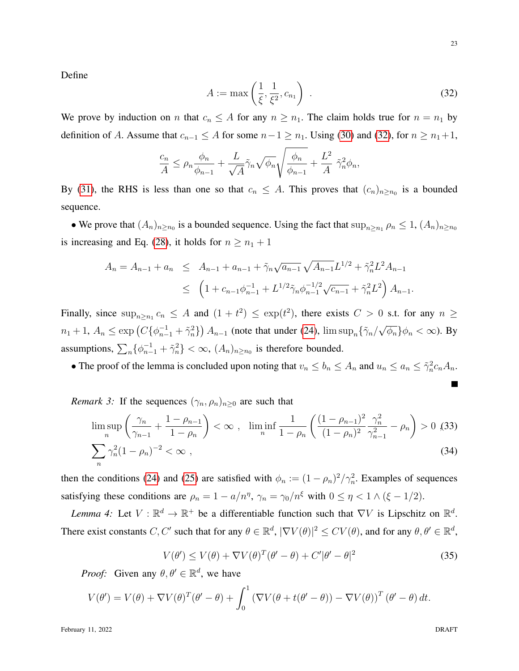Define

<span id="page-22-1"></span>
$$
A := \max\left(\frac{1}{\xi}, \frac{1}{\xi^2}, c_{n_1}\right) \tag{32}
$$

We prove by induction on n that  $c_n \leq A$  for any  $n \geq n_1$ . The claim holds true for  $n = n_1$  by definition of A. Assume that  $c_{n-1} \leq A$  for some  $n-1 \geq n_1$ . Using [\(30\)](#page-21-4) and [\(32\)](#page-22-1), for  $n \geq n_1+1$ ,

$$
\frac{c_n}{A} \le \rho_n \frac{\phi_n}{\phi_{n-1}} + \frac{L}{\sqrt{A}} \tilde{\gamma}_n \sqrt{\phi_n} \sqrt{\frac{\phi_n}{\phi_{n-1}}} + \frac{L^2}{A} \tilde{\gamma}_n^2 \phi_n,
$$

By [\(31\)](#page-21-5), the RHS is less than one so that  $c_n \leq A$ . This proves that  $(c_n)_{n \geq n_0}$  is a bounded sequence.

• We prove that  $(A_n)_{n \ge n_0}$  is a bounded sequence. Using the fact that  $\sup_{n \ge n_1} \rho_n \le 1$ ,  $(A_n)_{n \ge n_0}$ is increasing and Eq. [\(28\)](#page-21-6), it holds for  $n \ge n_1 + 1$ 

$$
A_n = A_{n-1} + a_n \leq A_{n-1} + a_{n-1} + \tilde{\gamma}_n \sqrt{a_{n-1}} \sqrt{A_{n-1}} L^{1/2} + \tilde{\gamma}_n^2 L^2 A_{n-1}
$$
  

$$
\leq \left(1 + c_{n-1} \phi_{n-1}^{-1} + L^{1/2} \tilde{\gamma}_n \phi_{n-1}^{-1/2} \sqrt{c_{n-1}} + \tilde{\gamma}_n^2 L^2 \right) A_{n-1}.
$$

Finally, since  $\sup_{n\geq n_1} c_n \leq A$  and  $(1+t^2) \leq \exp(t^2)$ , there exists  $C > 0$  s.t. for any  $n \geq$  $n_1+1, A_n \leq \exp\left(C\{\phi_{n-1}^{-1}+\tilde{\gamma}_n^2\}\right)A_{n-1}$  (note that under [\(24\)](#page-21-3),  $\limsup_n\{\tilde{\gamma}_n/\sqrt{\phi_n}\}\phi_n < \infty$ ). By assumptions,  $\sum_{n} {\{\phi_{n-1}^{-1} + \tilde{\gamma}_n^2\}} < \infty$ ,  $(A_n)_{n \ge n_0}$  is therefore bounded.

• The proof of the lemma is concluded upon noting that  $v_n \le b_n \le A_n$  and  $u_n \le a_n \le \tilde{\gamma}_n^2 c_n A_n$ .

*Remark 3:* If the sequences  $(\gamma_n, \rho_n)_{n>0}$  are such that

$$
\limsup_{n} \left( \frac{\gamma_n}{\gamma_{n-1}} + \frac{1 - \rho_{n-1}}{1 - \rho_n} \right) < \infty \;, \quad \liminf_{n} \frac{1}{1 - \rho_n} \left( \frac{(1 - \rho_{n-1})^2}{(1 - \rho_n)^2} \frac{\gamma_n^2}{\gamma_{n-1}^2} - \rho_n \right) > 0 \tag{33}
$$
\n
$$
\sum_{n} \gamma_n^2 (1 - \rho_n)^{-2} < \infty \;, \tag{34}
$$

then the conditions [\(24\)](#page-21-3) and [\(25\)](#page-21-3) are satisfied with  $\phi_n := (1 - \rho_n)^2 / \gamma_n^2$ . Examples of sequences satisfying these conditions are  $\rho_n = 1 - a/n^{\eta}$ ,  $\gamma_n = \gamma_0/n^{\xi}$  with  $0 \le \eta < 1 \wedge (\xi - 1/2)$ .

<span id="page-22-0"></span>*Lemma 4:* Let  $V : \mathbb{R}^d \to \mathbb{R}^+$  be a differentiable function such that  $\nabla V$  is Lipschitz on  $\mathbb{R}^d$ . There exist constants C, C' such that for any  $\theta \in \mathbb{R}^d$ ,  $|\nabla V(\theta)|^2 \le CV(\theta)$ , and for any  $\theta, \theta' \in \mathbb{R}^d$ ,

<span id="page-22-2"></span>
$$
V(\theta') \le V(\theta) + \nabla V(\theta)^T (\theta' - \theta) + C' |\theta' - \theta|^2
$$
\n(35)

*Proof:* Given any  $\theta, \theta' \in \mathbb{R}^d$ , we have

$$
V(\theta') = V(\theta) + \nabla V(\theta)^T (\theta' - \theta) + \int_0^1 (\nabla V(\theta + t(\theta' - \theta)) - \nabla V(\theta))^T (\theta' - \theta) dt.
$$

February 11, 2022 DRAFT

П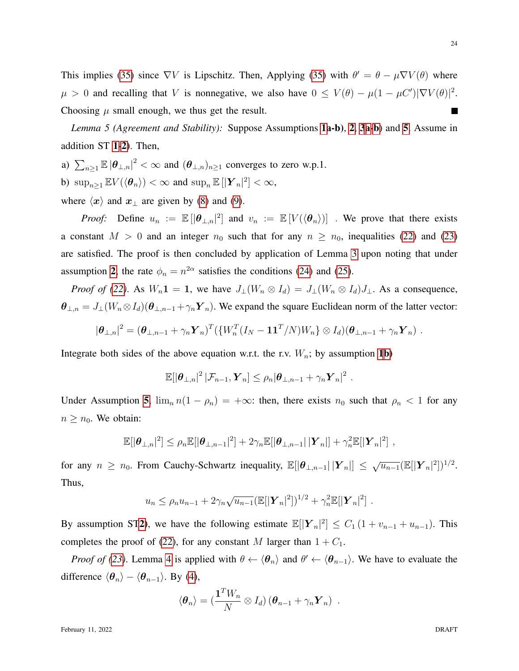This implies [\(35\)](#page-22-2) since  $\nabla V$  is Lipschitz. Then, Applying (35) with  $\theta' = \theta - \mu \nabla V(\theta)$  where  $\mu > 0$  and recalling that V is nonnegative, we also have  $0 \le V(\theta) - \mu(1 - \mu C')|\nabla V(\theta)|^2$ . Choosing  $\mu$  small enough, we thus get the result. П

<span id="page-23-0"></span>*Lemma 5 (Agreement and Stability):* Suppose Assumptions [1a](#page-5-0)-b), [2](#page-5-4), [3](#page-8-1)[a-](#page-8-4)[b](#page-8-6)) and [5](#page-10-1). Assume in addition ST [1](#page-11-3)[-2\)](#page-11-2). Then,

a)  $\sum_{n\geq 1} \mathbb{E} |\theta_{\perp,n}|^2 < \infty$  and  $(\theta_{\perp,n})_{n\geq 1}$  converges to zero w.p.1. b)  $\sup_{n\geq 1} \mathbb{E} V(\langle \theta_n \rangle) < \infty$  and  $\sup_n \mathbb{E} [|\boldsymbol{Y}_n|^2] < \infty$ , where  $\langle x \rangle$  and  $x_\perp$  are given by [\(8\)](#page-7-4) and [\(9\)](#page-7-3).

*Proof:* Define  $u_n := \mathbb{E} [|\theta_{\perp,n}|^2]$  and  $v_n := \mathbb{E} [V(\langle \theta_n \rangle)]$ . We prove that there exists a constant  $M > 0$  and an integer  $n_0$  such that for any  $n \ge n_0$ , inequalities [\(22\)](#page-21-0) and [\(23\)](#page-21-0)

are satisfied. The proof is then concluded by application of Lemma [3](#page-20-1) upon noting that under assumption [2](#page-5-4), the rate  $\phi_n = n^{2\alpha}$  satisfies the conditions [\(24\)](#page-21-3) and [\(25\)](#page-21-3).

*Proof of [\(22\)](#page-21-0)*. As  $W_n \mathbf{1} = \mathbf{1}$ , we have  $J_{\perp}(W_n \otimes I_d) = J_{\perp}(W_n \otimes I_d)J_{\perp}$ . As a consequence,  $\theta_{\perp,n} = J_{\perp}(W_n \otimes I_d)(\theta_{\perp,n-1} + \gamma_n Y_n)$ . We expand the square Euclidean norm of the latter vector:

$$
|\boldsymbol{\theta}_{\perp,n}|^2 = (\boldsymbol{\theta}_{\perp,n-1} + \gamma_n \boldsymbol{Y}_n)^T (\{W_n^T(I_N - \boldsymbol{1}\boldsymbol{1}^T/N)W_n\} \otimes I_d)(\boldsymbol{\theta}_{\perp,n-1} + \gamma_n \boldsymbol{Y}_n).
$$

Integrate both sides of the above equation w.r.t. the r.v.  $W_n$ ; by assumption [1](#page-5-0)[b\)](#page-5-3)

$$
\mathbb{E}[|\boldsymbol{\theta}_{\perp,n}|^2 \, |\mathcal{F}_{n-1}, \boldsymbol{Y}_n] \leq \rho_n |\boldsymbol{\theta}_{\perp,n-1} + \gamma_n \boldsymbol{Y}_n|^2.
$$

Under Assumption [5](#page-10-1),  $\lim_{n} n(1 - \rho_n) = +\infty$ : then, there exists  $n_0$  such that  $\rho_n < 1$  for any  $n \geq n_0$ . We obtain:

$$
\mathbb{E}[|\boldsymbol{\theta}_{\perp,n}|^2] \leq \rho_n \mathbb{E}[|\boldsymbol{\theta}_{\perp,n-1}|^2] + 2\gamma_n \mathbb{E}[|\boldsymbol{\theta}_{\perp,n-1}| |\boldsymbol{Y}_n|] + \gamma_n^2 \mathbb{E}[|\boldsymbol{Y}_n|^2],
$$

for any  $n \ge n_0$ . From Cauchy-Schwartz inequality,  $\mathbb{E}[|\theta_{\perp,n-1}| |\mathbf{Y}_n|] \le \sqrt{u_{n-1}} (\mathbb{E}[|\mathbf{Y}_n|^2])^{1/2}$ . Thus,

$$
u_n \leq \rho_n u_{n-1} + 2\gamma_n \sqrt{u_{n-1}} (\mathbb{E}[|\boldsymbol{Y}_n|^2])^{1/2} + \gamma_n^2 \mathbb{E}[|\boldsymbol{Y}_n|^2].
$$

By assumption ST[2\)](#page-11-2), we have the following estimate  $\mathbb{E}[|Y_n|^2] \leq C_1 (1 + v_{n-1} + u_{n-1})$ . This completes the proof of [\(22\)](#page-21-0), for any constant M larger than  $1 + C_1$ .

*Proof of [\(23\)](#page-21-0)*. Lemma [4](#page-22-0) is applied with  $\theta \leftarrow \langle \theta_n \rangle$  and  $\theta' \leftarrow \langle \theta_{n-1} \rangle$ . We have to evaluate the difference  $\langle \theta_n \rangle - \langle \theta_{n-1} \rangle$ . By [\(4\)](#page-4-1),

$$
\langle \boldsymbol{\theta}_n \rangle = \left( \frac{\mathbf{1}^T W_n}{N} \otimes I_d \right) \left( \boldsymbol{\theta}_{n-1} + \gamma_n \boldsymbol{Y}_n \right) .
$$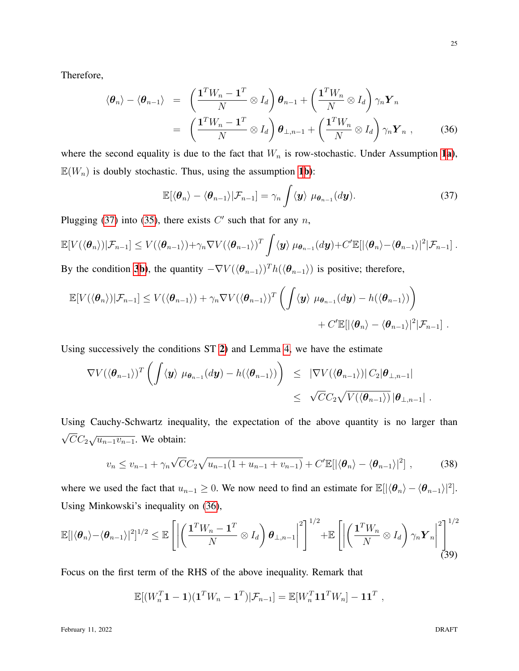Therefore,

<span id="page-24-1"></span>
$$
\langle \boldsymbol{\theta}_n \rangle - \langle \boldsymbol{\theta}_{n-1} \rangle = \left( \frac{\mathbf{1}^T W_n - \mathbf{1}^T}{N} \otimes I_d \right) \boldsymbol{\theta}_{n-1} + \left( \frac{\mathbf{1}^T W_n}{N} \otimes I_d \right) \gamma_n \boldsymbol{Y}_n
$$
  
= 
$$
\left( \frac{\mathbf{1}^T W_n - \mathbf{1}^T}{N} \otimes I_d \right) \boldsymbol{\theta}_{\perp, n-1} + \left( \frac{\mathbf{1}^T W_n}{N} \otimes I_d \right) \gamma_n \boldsymbol{Y}_n , \qquad (36)
$$

where the second equality is due to the fact that  $W_n$  is row-stochastic. Under Assumption [1](#page-5-0)[a\)](#page-5-1),  $\mathbb{E}(W_n)$  is doubly stochastic. Thus, using the assumption [1](#page-5-0)[b\)](#page-5-3):

<span id="page-24-0"></span>
$$
\mathbb{E}[\langle \boldsymbol{\theta}_n \rangle - \langle \boldsymbol{\theta}_{n-1} \rangle | \mathcal{F}_{n-1}] = \gamma_n \int \langle \boldsymbol{y} \rangle \ \mu_{\boldsymbol{\theta}_{n-1}}(d\boldsymbol{y}). \tag{37}
$$

Plugging [\(37\)](#page-24-0) into [\(35\)](#page-22-2), there exists  $C'$  such that for any  $n$ ,

$$
\mathbb{E}[V(\langle \boldsymbol{\theta}_n \rangle)|\mathcal{F}_{n-1}] \leq V(\langle \boldsymbol{\theta}_{n-1} \rangle) + \gamma_n \nabla V(\langle \boldsymbol{\theta}_{n-1} \rangle)^T \int \langle \boldsymbol{y} \rangle \ \mu_{\boldsymbol{\theta}_{n-1}}(d\boldsymbol{y}) + C' \mathbb{E}[|\langle \boldsymbol{\theta}_n \rangle \langle \boldsymbol{\theta}_{n-1} \rangle|^2 |\mathcal{F}_{n-1}].
$$

By the condition [3](#page-8-1)[b\)](#page-8-6), the quantity  $-\nabla V(\langle \theta_{n-1} \rangle)^T h(\langle \theta_{n-1} \rangle)$  is positive; therefore,

$$
\mathbb{E}[V(\langle \boldsymbol{\theta}_n \rangle)|\mathcal{F}_{n-1}] \le V(\langle \boldsymbol{\theta}_{n-1} \rangle) + \gamma_n \nabla V(\langle \boldsymbol{\theta}_{n-1} \rangle)^T \left( \int \langle \boldsymbol{y} \rangle \ \mu_{\boldsymbol{\theta}_{n-1}}(d\boldsymbol{y}) - h(\langle \boldsymbol{\theta}_{n-1} \rangle) \right) + C' \mathbb{E}[|\langle \boldsymbol{\theta}_n \rangle - \langle \boldsymbol{\theta}_{n-1} \rangle|^2 |\mathcal{F}_{n-1}].
$$

Using successively the conditions ST [2\)](#page-11-2) and Lemma [4,](#page-22-0) we have the estimate

$$
\nabla V(\langle \boldsymbol{\theta}_{n-1} \rangle)^T \left( \int \langle \boldsymbol{y} \rangle \ \mu_{\boldsymbol{\theta}_{n-1}}(d\boldsymbol{y}) - h(\langle \boldsymbol{\theta}_{n-1} \rangle) \right) \leq \ |\nabla V(\langle \boldsymbol{\theta}_{n-1} \rangle)| C_2 | \boldsymbol{\theta}_{\perp, n-1} |
$$
  

$$
\leq \ \sqrt{C} C_2 \sqrt{V(\langle \boldsymbol{\theta}_{n-1} \rangle)} |\boldsymbol{\theta}_{\perp, n-1}|.
$$

Using Cauchy-Schwartz inequality, the expectation of the above quantity is no larger than  $\sqrt{C}C_2\sqrt{u_{n-1}v_{n-1}}$ . We obtain:

<span id="page-24-3"></span>
$$
v_n \le v_{n-1} + \gamma_n \sqrt{C} C_2 \sqrt{u_{n-1} (1 + u_{n-1} + v_{n-1})} + C' \mathbb{E}[|\langle \boldsymbol{\theta}_n \rangle - \langle \boldsymbol{\theta}_{n-1} \rangle|^2], \tag{38}
$$

where we used the fact that  $u_{n-1} \geq 0$ . We now need to find an estimate for  $\mathbb{E}[|\langle \theta_n \rangle - \langle \theta_{n-1} \rangle|^2]$ . Using Minkowski's inequality on [\(36\)](#page-24-1),

<span id="page-24-2"></span>
$$
\mathbb{E}[|\langle \boldsymbol{\theta}_n \rangle - \langle \boldsymbol{\theta}_{n-1} \rangle|^2]^{1/2} \leq \mathbb{E}\left[\left|\left(\frac{\mathbf{1}^T W_n - \mathbf{1}^T}{N} \otimes I_d\right) \boldsymbol{\theta}_{\perp,n-1}\right|^2\right]^{1/2} + \mathbb{E}\left[\left|\left(\frac{\mathbf{1}^T W_n}{N} \otimes I_d\right) \gamma_n \boldsymbol{Y}_n\right|^2\right]^{1/2} (39)
$$

Focus on the first term of the RHS of the above inequality. Remark that

$$
\mathbb{E}[(W_n^T \mathbf{1} - \mathbf{1})(\mathbf{1}^T W_n - \mathbf{1}^T)|\mathcal{F}_{n-1}] = \mathbb{E}[W_n^T \mathbf{1} \mathbf{1}^T W_n] - \mathbf{1} \mathbf{1}^T,
$$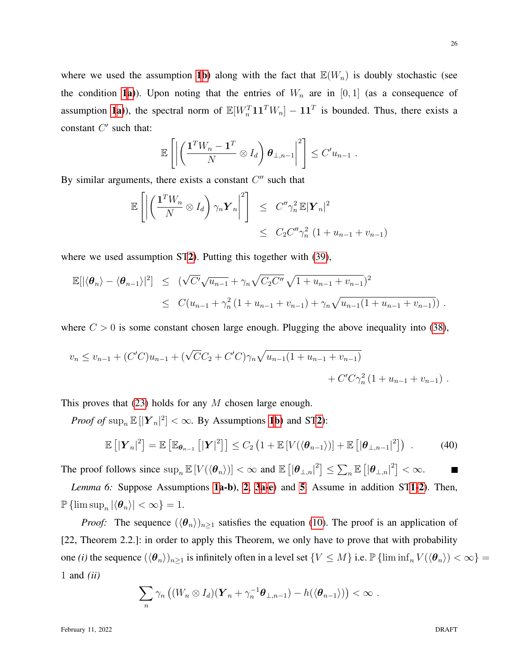26

where we used the assumption [1](#page-5-0)[b\)](#page-5-3) along with the fact that  $\mathbb{E}(W_n)$  is doubly stochastic (see the condition [1](#page-5-0)[a\)](#page-5-1)). Upon noting that the entries of  $W_n$  are in [0, 1] (as a consequence of assumption [1](#page-5-0)[a\)](#page-5-1)), the spectral norm of  $\mathbb{E}[W_n^T \mathbf{1} \mathbf{1}^T W_n] - \mathbf{1} \mathbf{1}^T$  is bounded. Thus, there exists a constant  $C'$  such that:

$$
\mathbb{E}\left[\left|\left(\frac{\mathbf{1}^T W_n - \mathbf{1}^T}{N} \otimes I_d\right)\boldsymbol{\theta}_{\perp,n-1}\right|^2\right] \leq C' u_{n-1} .
$$

By similar arguments, there exists a constant  $C''$  such that

$$
\mathbb{E}\left[\left|\left(\frac{\mathbf{1}^T W_n}{N} \otimes I_d\right) \gamma_n \mathbf{Y}_n\right|^2\right] \leq C'' \gamma_n^2 \mathbb{E}|\mathbf{Y}_n|^2
$$
  

$$
\leq C_2 C'' \gamma_n^2 (1 + u_{n-1} + v_{n-1})
$$

where we used assumption ST[2\)](#page-11-2). Putting this together with [\(39\)](#page-24-2),

$$
\mathbb{E}[|\langle \theta_n \rangle - \langle \theta_{n-1} \rangle|^2] \leq (\sqrt{C'}\sqrt{u_{n-1}} + \gamma_n \sqrt{C_2 C''} \sqrt{1 + u_{n-1} + v_{n-1}})^2
$$
  
 
$$
\leq C(u_{n-1} + \gamma_n^2 (1 + u_{n-1} + v_{n-1}) + \gamma_n \sqrt{u_{n-1} (1 + u_{n-1} + v_{n-1})}).
$$

where  $C > 0$  is some constant chosen large enough. Plugging the above inequality into [\(38\)](#page-24-3),

$$
v_n \le v_{n-1} + (C'C)u_{n-1} + (\sqrt{C}C_2 + C'C)\gamma_n\sqrt{u_{n-1}(1+u_{n-1}+v_{n-1})} + C'C\gamma_n^2(1+u_{n-1}+v_{n-1}).
$$

This proves that  $(23)$  holds for any M chosen large enough.

*Proof of*  $\sup_n \mathbb{E} [|\boldsymbol{Y}_n|^2] < \infty$ . By Assumptions **[1](#page-5-0)b**) and ST[2\)](#page-11-2):

$$
\mathbb{E}\left[\left|\boldsymbol{Y}_{n}\right|^{2}\right] = \mathbb{E}\left[\mathbb{E}_{\boldsymbol{\theta}_{n-1}}\left[\left|\boldsymbol{Y}\right|^{2}\right]\right] \leq C_{2}\left(1 + \mathbb{E}\left[V(\langle\boldsymbol{\theta}_{n-1}\rangle)\right] + \mathbb{E}\left[\left|\boldsymbol{\theta}_{\perp,n-1}\right|^{2}\right]\right) . \tag{40}
$$

The proof follows since  $\sup_n \mathbb{E}[V(\langle \theta_n \rangle)] < \infty$  and  $\mathbb{E}[|\theta_{\perp,n}|^2] \leq \sum_n \mathbb{E}[|\theta_{\perp,n}|^2] < \infty$ .

*Lemma 6:* Suppose Assumptions [1a](#page-5-0)-b), [2](#page-5-4), [3](#page-8-1)[a](#page-8-4)[-e](#page-8-5)) and [5](#page-10-1). Assume in addition ST[1](#page-11-3)[-2\)](#page-11-2). Then,  $\mathbb{P}\left\{\limsup_{n}|\langle\boldsymbol{\theta}_{n}\rangle|<\infty\right\}=1.$ 

*Proof:* The sequence  $(\langle \theta_n \rangle)_{n \geq 1}$  satisfies the equation [\(10\)](#page-7-1). The proof is an application of [22, Theorem 2.2.]: in order to apply this Theorem, we only have to prove that with probability one *(i)* the sequence  $(\langle \theta_n \rangle)_{n\geq 1}$  is infinitely often in a level set  $\{V \leq M\}$  i.e.  $\mathbb{P} \{\liminf_n V(\langle \theta_n \rangle) < \infty\}$ 1 and *(ii)*

$$
\sum_n \gamma_n \left( (W_n \otimes I_d)(\boldsymbol{Y}_n + \gamma_n^{-1} \boldsymbol{\theta}_{\perp,n-1}) - h(\langle \boldsymbol{\theta}_{n-1} \rangle) \right) < \infty.
$$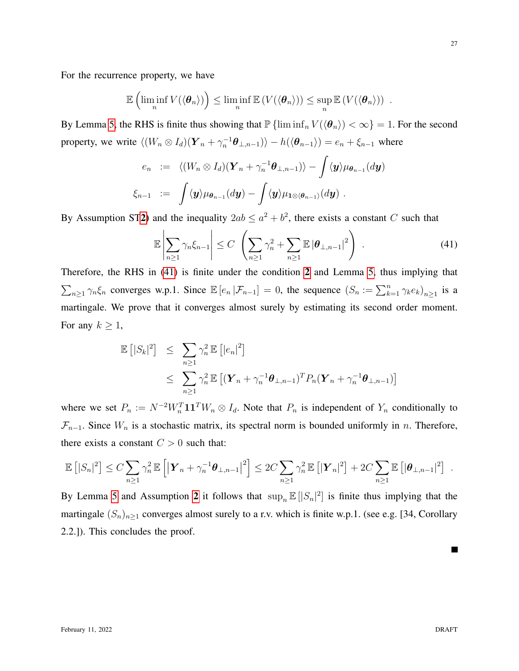For the recurrence property, we have

$$
\mathbb{E}\left(\liminf_n V(\langle\boldsymbol{\theta}_n\rangle)\right)\leq \liminf_n \mathbb{E}\left(V(\langle\boldsymbol{\theta}_n\rangle)\right)\leq \sup_n \mathbb{E}\left(V(\langle\boldsymbol{\theta}_n\rangle)\right).
$$

By Lemma [5,](#page-23-0) the RHS is finite thus showing that  $\mathbb{P} \{ \liminf_n V(\langle \theta_n \rangle) < \infty \} = 1$ . For the second property, we write  $\langle (W_n \otimes I_d)(\boldsymbol{Y}_n + \gamma_n^{-1}\boldsymbol{\theta}_{\perp,n-1})\rangle - h(\langle \boldsymbol{\theta}_{n-1}\rangle) = e_n + \xi_{n-1}$  where

$$
e_n := \langle (W_n \otimes I_d)(\boldsymbol{Y}_n + \gamma_n^{-1} \boldsymbol{\theta}_{\perp, n-1}) \rangle - \int \langle \boldsymbol{y} \rangle \mu_{\boldsymbol{\theta}_{n-1}}(d\boldsymbol{y})
$$
  

$$
\xi_{n-1} := \int \langle \boldsymbol{y} \rangle \mu_{\boldsymbol{\theta}_{n-1}}(d\boldsymbol{y}) - \int \langle \boldsymbol{y} \rangle \mu_{1 \otimes \langle \boldsymbol{\theta}_{n-1} \rangle}(d\boldsymbol{y}).
$$

By Assumption ST[2\)](#page-11-2) and the inequality  $2ab \le a^2 + b^2$ , there exists a constant C such that

<span id="page-26-0"></span>
$$
\mathbb{E}\left|\sum_{n\geq 1}\gamma_n\xi_{n-1}\right|\leq C\left(\sum_{n\geq 1}\gamma_n^2+\sum_{n\geq 1}\mathbb{E}\left|\theta_{\perp,n-1}\right|^2\right)\,. \tag{41}
$$

Therefore, the RHS in [\(41\)](#page-26-0) is finite under the condition [2](#page-5-4) and Lemma [5,](#page-23-0) thus implying that  $\sum_{n\geq 1}\gamma_n\xi_n$  converges w.p.1. Since  $\mathbb{E}\left[e_n|\mathcal{F}_{n-1}\right]=0$ , the sequence  $(S_n:=\sum_{k=1}^n\gamma_ke_k)_{n\geq 1}$  is a martingale. We prove that it converges almost surely by estimating its second order moment. For any  $k \geq 1$ ,

$$
\mathbb{E}\left[|S_k|^2\right] \leq \sum_{n\geq 1} \gamma_n^2 \mathbb{E}\left[|e_n|^2\right] \leq \sum_{n\geq 1} \gamma_n^2 \mathbb{E}\left[ (\boldsymbol{Y}_n + \gamma_n^{-1} \boldsymbol{\theta}_{\perp,n-1})^T P_n (\boldsymbol{Y}_n + \gamma_n^{-1} \boldsymbol{\theta}_{\perp,n-1}) \right]
$$

where we set  $P_n := N^{-2}W_n^T \mathbf{1}\mathbf{1}^T W_n \otimes I_d$ . Note that  $P_n$  is independent of  $Y_n$  conditionally to  $\mathcal{F}_{n-1}$ . Since  $W_n$  is a stochastic matrix, its spectral norm is bounded uniformly in n. Therefore, there exists a constant  $C > 0$  such that:

$$
\mathbb{E}\left[|S_n|^2\right] \leq C \sum_{n\geq 1} \gamma_n^2 \mathbb{E}\left[\left|\boldsymbol{Y}_n + \gamma_n^{-1}\boldsymbol{\theta}_{\perp,n-1}\right|^2\right] \leq 2C \sum_{n\geq 1} \gamma_n^2 \mathbb{E}\left[\left|\boldsymbol{Y}_n\right|^2\right] + 2C \sum_{n\geq 1} \mathbb{E}\left[|\boldsymbol{\theta}_{\perp,n-1}|^2\right] .
$$

By Lemma [5](#page-23-0) and Assumption [2](#page-5-4) it follows that  $\sup_n \mathbb{E} [|S_n|^2]$  is finite thus implying that the martingale  $(S_n)_{n\geq 1}$  converges almost surely to a r.v. which is finite w.p.1. (see e.g. [34, Corollary 2.2.]). This concludes the proof.

 $\blacksquare$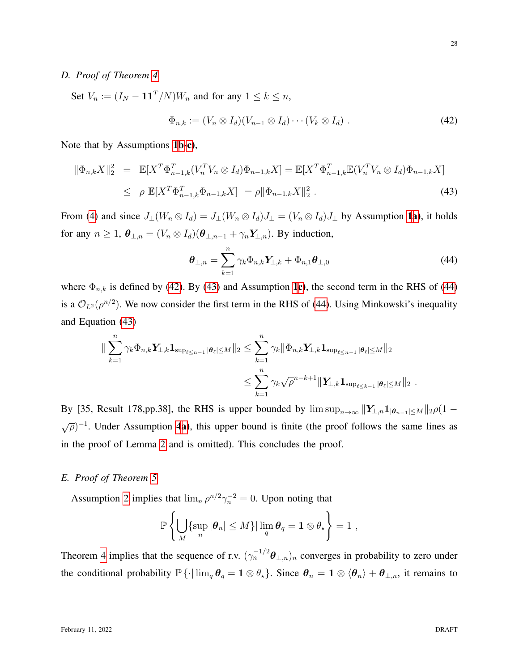#### <span id="page-27-0"></span>*D. Proof of Theorem [4](#page-12-1)*

<span id="page-27-2"></span>Set 
$$
V_n := (I_N - \mathbf{1}\mathbf{1}^T/N)W_n
$$
 and for any  $1 \le k \le n$ ,  
\n
$$
\Phi_{n,k} := (V_n \otimes I_d)(V_{n-1} \otimes I_d) \cdots (V_k \otimes I_d) .
$$
\n(42)

Note that by Assumptions [1](#page-5-0)[b-](#page-5-3)[c\)](#page-5-2),

<span id="page-27-3"></span>
$$
\|\Phi_{n,k}X\|_2^2 = \mathbb{E}[X^T\Phi_{n-1,k}^T(V_n^T V_n \otimes I_d)\Phi_{n-1,k}X] = \mathbb{E}[X^T\Phi_{n-1,k}^T \mathbb{E}(V_n^T V_n \otimes I_d)\Phi_{n-1,k}X]
$$
  
\n
$$
\leq \rho \mathbb{E}[X^T\Phi_{n-1,k}^T \Phi_{n-1,k}X] = \rho \|\Phi_{n-1,k}X\|_2^2.
$$
 (43)

From [\(4\)](#page-4-1) and since  $J_{\perp}(W_n \otimes I_d) = J_{\perp}(W_n \otimes I_d)J_{\perp} = (V_n \otimes I_d)J_{\perp}$  by Assumption [1](#page-5-0)[a\)](#page-5-1), it holds for any  $n \geq 1$ ,  $\theta_{\perp,n} = (V_n \otimes I_d)(\theta_{\perp,n-1} + \gamma_n Y_{\perp,n})$ . By induction,

<span id="page-27-4"></span>
$$
\boldsymbol{\theta}_{\perp,n} = \sum_{k=1}^{n} \gamma_k \Phi_{n,k} \mathbf{Y}_{\perp,k} + \Phi_{n,1} \boldsymbol{\theta}_{\perp,0}
$$
(44)

where  $\Phi_{n,k}$  is defined by [\(42\)](#page-27-2). By [\(43\)](#page-27-3) and Assumption [1](#page-5-0)[c\)](#page-5-2), the second term in the RHS of [\(44\)](#page-27-4) is a  $\mathcal{O}_{L^2}(\rho^{n/2})$ . We now consider the first term in the RHS of [\(44\)](#page-27-4). Using Minkowski's inequality and Equation [\(43\)](#page-27-3)

$$
\|\sum_{k=1}^n \gamma_k \Phi_{n,k} \mathbf{Y}_{\perp,k} \mathbf{1}_{\sup_{\ell \leq n-1} |\theta_\ell| \leq M} \|_2 \leq \sum_{k=1}^n \gamma_k \|\Phi_{n,k} \mathbf{Y}_{\perp,k} \mathbf{1}_{\sup_{\ell \leq n-1} |\theta_\ell| \leq M} \|_2
$$
  

$$
\leq \sum_{k=1}^n \gamma_k \sqrt{\rho}^{n-k+1} \|\mathbf{Y}_{\perp,k} \mathbf{1}_{\sup_{\ell \leq k-1} |\theta_\ell| \leq M} \|_2.
$$

By [35, Result 178,pp.38], the RHS is upper bounded by  $\limsup_{n\to\infty} ||Y_{\perp,n}1_{|\theta_{n-1}|\leq M}||_2\rho(1 \sqrt{\rho}$ <sup>-1</sup>. Under Assumption [4](#page-9-2)[a\)](#page-9-4), this upper bound is finite (the proof follows the same lines as in the proof of Lemma [2](#page-19-0) and is omitted). This concludes the proof.

## <span id="page-27-1"></span>*E. Proof of Theorem [5](#page-13-0)*

Assumption [2](#page-5-4) implies that  $\lim_{n} \rho^{n/2} \gamma_n^{-2} = 0$ . Upon noting that

$$
\mathbb{P}\left\{\bigcup_{M}\{\sup_{n}|\boldsymbol{\theta}_{n}|\leq M\}|\lim_{q}\boldsymbol{\theta}_{q}=\mathbf{1}\otimes\theta_{\star}\right\}=1,
$$

Theorem [4](#page-12-1) implies that the sequence of r.v.  $(\gamma_n^{-1/2}\theta_{\perp,n})_n$  converges in probability to zero under the conditional probability  $\mathbb{P}\left\{\cdot\middle|\lim_{q}\theta_{q}=1\otimes\theta_{\star}\right\}$ . Since  $\theta_{n}=1\otimes\left\langle\theta_{n}\right\rangle+\theta_{\perp,n}$ , it remains to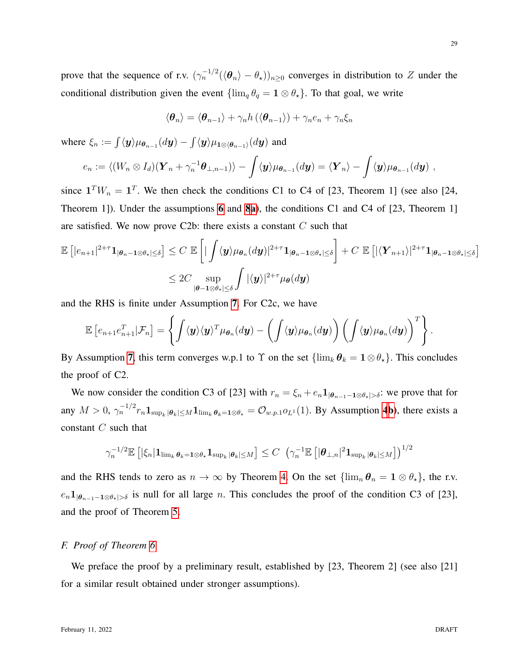prove that the sequence of r.v.  $(\gamma_n^{-1/2}(\langle \theta_n \rangle - \theta_\star))_{n \geq 0}$  converges in distribution to Z under the conditional distribution given the event  $\{\lim_q \theta_q = 1 \otimes \theta_\star\}$ . To that goal, we write

$$
\langle \boldsymbol{\theta}_n \rangle = \langle \boldsymbol{\theta}_{n-1} \rangle + \gamma_n h \left( \langle \boldsymbol{\theta}_{n-1} \rangle \right) + \gamma_n e_n + \gamma_n \xi_n
$$

where  $\xi_n := \int \langle \bm{y} \rangle \mu_{\bm{\theta}_{n-1}}(d\bm{y}) - \int \langle \bm{y} \rangle \mu_{\bm{1} \otimes \langle \bm{\theta}_{n-1} \rangle}(d\bm{y})$  and

$$
e_n:=\langle (W_n\otimes I_d)(\boldsymbol Y_n+\gamma_n^{-1}\boldsymbol\theta_{\perp,n-1})\rangle-\int\langle \boldsymbol y\rangle\mu_{\boldsymbol\theta_{n-1}}(d\boldsymbol y)=\langle \boldsymbol Y_n\rangle-\int\langle \boldsymbol y\rangle\mu_{\boldsymbol\theta_{n-1}}(d\boldsymbol y)\;,
$$

since  $\mathbf{1}^T W_n = \mathbf{1}^T$ . We then check the conditions C1 to C4 of [23, Theorem 1] (see also [24, Theorem 1]). Under the assumptions [6](#page-12-5) and [8](#page-12-2)[a\)](#page-12-3), the conditions C1 and C4 of [23, Theorem 1] are satisfied. We now prove C2b: there exists a constant  $C$  such that

$$
\mathbb{E}\left[|e_{n+1}|^{2+\tau}\mathbf{1}_{|\boldsymbol{\theta}_n-\mathbf{1}\otimes\boldsymbol{\theta}_\star|\leq\delta}\right] \leq C \mathbb{E}\left[\left|\int \langle \mathbf{y}\rangle\mu_{\boldsymbol{\theta}_n}(d\mathbf{y})|^{2+\tau}\mathbf{1}_{|\boldsymbol{\theta}_n-\mathbf{1}\otimes\boldsymbol{\theta}_\star|\leq\delta}\right] + C \mathbb{E}\left[|\langle \mathbf{Y}_{n+1}\rangle|^{2+\tau}\mathbf{1}_{|\boldsymbol{\theta}_n-\mathbf{1}\otimes\boldsymbol{\theta}_\star|\leq\delta}\right]\right]
$$
  

$$
\leq 2C \sup_{|\boldsymbol{\theta}-\mathbf{1}\otimes\boldsymbol{\theta}_\star|\leq\delta} \int |\langle \mathbf{y}\rangle|^{2+\tau} \mu_{\boldsymbol{\theta}}(d\mathbf{y})
$$

and the RHS is finite under Assumption [7](#page-12-6). For C2c, we have

$$
\mathbb{E}\left[e_{n+1}e_{n+1}^T|\mathcal{F}_n\right] = \left\{\int \langle \boldsymbol{y}\rangle \langle \boldsymbol{y}\rangle^T \mu_{\boldsymbol{\theta}_n}(d\boldsymbol{y}) - \left(\int \langle \boldsymbol{y}\rangle \mu_{\boldsymbol{\theta}_n}(d\boldsymbol{y})\right) \left(\int \langle \boldsymbol{y}\rangle \mu_{\boldsymbol{\theta}_n}(d\boldsymbol{y})\right)^T\right\}.
$$

By Assumption [7](#page-12-6), this term converges w.p.1 to  $\Upsilon$  on the set  $\{\lim_k \theta_k = 1 \otimes \theta_*\}$ . This concludes the proof of C2.

We now consider the condition C3 of [23] with  $r_n = \xi_n + e_n \mathbf{1}_{|\theta_{n-1}-1 \otimes \theta_{\star}| > \delta}$ : we prove that for any  $M > 0$ ,  $\gamma_n^{-1/2} r_n \mathbf{1}_{\sup_k |\boldsymbol{\theta}_k| \leq M} \mathbf{1}_{\lim_k \boldsymbol{\theta}_k = 1 \otimes \boldsymbol{\theta}_k} = \mathcal{O}_{w.p.1} o_{L^1}(1)$ . By Assumption [4](#page-9-2)[b\)](#page-9-5), there exists a constant C such that

<span id="page-28-1"></span>
$$
\gamma_n^{-1/2} \mathbb{E} \left[ \left| \xi_n \right| \mathbf{1}_{\lim_k \theta_k = 1 \otimes \theta_\star} \mathbf{1}_{\sup_k |\theta_k| \leq M} \right] \leq C \left( \gamma_n^{-1} \mathbb{E} \left[ |\theta_{\perp,n}|^2 \mathbf{1}_{\sup_k |\theta_k| \leq M} \right] \right)^{1/2}
$$

and the RHS tends to zero as  $n \to \infty$  by Theorem [4.](#page-12-1) On the set  $\{\lim_{n} \theta_n = 1 \otimes \theta_{*}\}\)$ , the r.v.  $e_n 1_{|\theta_{n-1}-1\otimes\theta_\star|>\delta}$  is null for all large n. This concludes the proof of the condition C3 of [23], and the proof of Theorem [5.](#page-13-0)

# <span id="page-28-0"></span>*F. Proof of Theorem [6](#page-14-0)*

We preface the proof by a preliminary result, established by [23, Theorem 2] (see also [21] for a similar result obtained under stronger assumptions).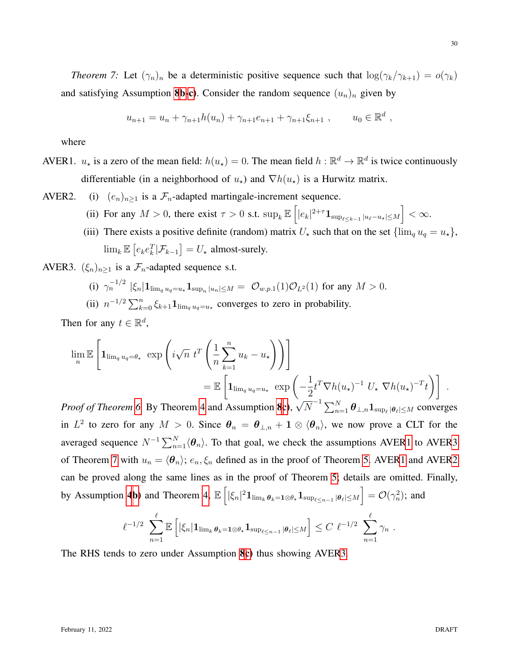*Theorem 7:* Let  $(\gamma_n)_n$  be a deterministic positive sequence such that  $\log(\gamma_k/\gamma_{k+1}) = o(\gamma_k)$ and satisfying Assumption [8](#page-12-2)[b-](#page-12-4)[c\)](#page-12-7). Consider the random sequence  $(u_n)_n$  given by

$$
u_{n+1} = u_n + \gamma_{n+1}h(u_n) + \gamma_{n+1}e_{n+1} + \gamma_{n+1}\xi_{n+1} , \qquad u_0 \in \mathbb{R}^d ,
$$

<span id="page-29-0"></span>where

AVER1.  $u_*$  is a zero of the mean field:  $h(u_*) = 0$ . The mean field  $h : \mathbb{R}^d \to \mathbb{R}^d$  is twice continuously differentiable (in a neighborhood of  $u<sub>\star</sub>$ ) and  $\nabla h(u<sub>\star</sub>)$  is a Hurwitz matrix.

<span id="page-29-2"></span>AVER2. (i)  $(e_n)_{n\geq 1}$  is a  $\mathcal{F}_n$ -adapted martingale-increment sequence.

- (ii) For any  $M > 0$ , there exist  $\tau > 0$  s.t.  $\sup_k \mathbb{E} \left[ |e_k|^{2+\tau} \mathbf{1}_{\sup_{\ell \leq k-1} |u_{\ell}-u_{\star}| \leq M} \right] < \infty$ .
- (iii) There exists a positive definite (random) matrix  $U_{\star}$  such that on the set  $\{\lim_{q} u_q = u_{\star}\},\$  $\lim_{k} \mathbb{E} \left[ e_k e_k^T | \mathcal{F}_{k-1} \right] = U_{\star}$  almost-surely.

<span id="page-29-1"></span>AVER3.  $(\xi_n)_{n\geq 1}$  is a  $\mathcal{F}_n$ -adapted sequence s.t.

- (i)  $\gamma_n^{-1/2} |\xi_n| \mathbf{1}_{\lim_q u_q = u_\star} \mathbf{1}_{\sup_n |u_n| \leq M} = \mathcal{O}_{w.p.1}(1) \mathcal{O}_{L^2}(1)$  for any  $M > 0$ .
- (ii)  $n^{-1/2} \sum_{k=0}^{n} \xi_{k+1} \mathbf{1}_{\lim_{q} u_q = u_{\star}}$  converges to zero in probability.

Then for any  $t \in \mathbb{R}^d$ ,

$$
\lim_{n} \mathbb{E}\left[\mathbf{1}_{\lim_{q} u_q = \theta_{\star}} \exp\left(i\sqrt{n} \ t^T \left(\frac{1}{n} \sum_{k=1}^n u_k - u_{\star}\right)\right)\right]
$$
  
= 
$$
\mathbb{E}\left[\mathbf{1}_{\lim_{q} u_q = u_{\star}} \exp\left(-\frac{1}{2} t^T \nabla h(u_{\star})^{-1} U_{\star} \nabla h(u_{\star})^{-T} t\right)\right].
$$

*Proof of Theorem* [6.](#page-14-0) By Theorem [4](#page-12-1) and Assumption [8](#page-12-2)[c\)](#page-12-7),  $\sqrt{N}^{-1} \sum_{n=1}^{N} \theta_{\perp,n} \mathbf{1}_{\sup_{\ell} |\theta_{\ell}| \leq M}$  converges in  $L^2$  to zero for any  $M > 0$ . Since  $\theta_n = \theta_{\perp,n} + 1 \otimes \langle \theta_n \rangle$ , we now prove a CLT for the averaged sequence  $N^{-1} \sum_{n=1}^{N} \langle \theta_n \rangle$ . To that goal, we check the assumptions AVE[R1](#page-29-0) to AVE[R3](#page-29-1) of Theorem [7](#page-28-1) with  $u_n = \langle \theta_n \rangle$ ;  $e_n, \xi_n$  defined as in the proof of Theorem [5.](#page-13-0) AVE[R1](#page-29-0) and AVE[R2](#page-29-2) can be proved along the same lines as in the proof of Theorem [5;](#page-13-0) details are omitted. Finally, by Assumption [4](#page-9-2)[b\)](#page-9-5) and Theorem [4,](#page-12-1)  $\mathbb{E}\left[|\xi_n|^2\mathbf{1}_{\lim_k \theta_k=1\otimes \theta_\star}\mathbf{1}_{\sup_{\ell\leq n-1}|\theta_\ell|\leq M}\right] = \mathcal{O}(\gamma_n^2)$ ; and

$$
\ell^{-1/2} \sum_{n=1}^{\ell} \mathbb{E} \left[ |\xi_n| \mathbf{1}_{\lim_k \theta_k = \mathbf{1} \otimes \theta_{\star}} \mathbf{1}_{\sup_{\ell \leq n-1} |\theta_{\ell}| \leq M} \right] \leq C \; \ell^{-1/2} \sum_{n=1}^{\ell} \gamma_n \; .
$$

The RHS tends to zero under Assumption [8](#page-12-2)[c\)](#page-12-7) thus showing AVE[R3.](#page-29-1)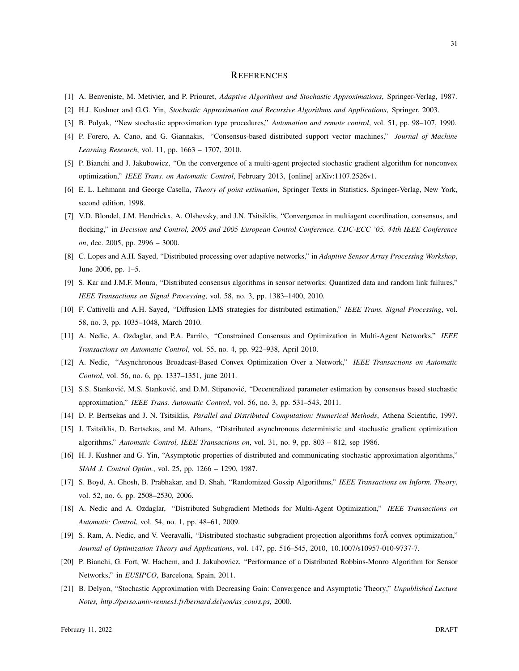#### **REFERENCES**

- [1] A. Benveniste, M. Metivier, and P. Priouret, *Adaptive Algorithms and Stochastic Approximations*, Springer-Verlag, 1987.
- [2] H.J. Kushner and G.G. Yin, *Stochastic Approximation and Recursive Algorithms and Applications*, Springer, 2003.
- [3] B. Polyak, "New stochastic approximation type procedures," *Automation and remote control*, vol. 51, pp. 98–107, 1990.
- [4] P. Forero, A. Cano, and G. Giannakis, "Consensus-based distributed support vector machines," *Journal of Machine Learning Research*, vol. 11, pp. 1663 – 1707, 2010.
- [5] P. Bianchi and J. Jakubowicz, "On the convergence of a multi-agent projected stochastic gradient algorithm for nonconvex optimization," *IEEE Trans. on Automatic Control*, February 2013, [online] arXiv:1107.2526v1.
- [6] E. L. Lehmann and George Casella, *Theory of point estimation*, Springer Texts in Statistics. Springer-Verlag, New York, second edition, 1998.
- [7] V.D. Blondel, J.M. Hendrickx, A. Olshevsky, and J.N. Tsitsiklis, "Convergence in multiagent coordination, consensus, and flocking," in *Decision and Control, 2005 and 2005 European Control Conference. CDC-ECC '05. 44th IEEE Conference on*, dec. 2005, pp. 2996 – 3000.
- [8] C. Lopes and A.H. Sayed, "Distributed processing over adaptive networks," in *Adaptive Sensor Array Processing Workshop*, June 2006, pp. 1–5.
- [9] S. Kar and J.M.F. Moura, "Distributed consensus algorithms in sensor networks: Quantized data and random link failures," *IEEE Transactions on Signal Processing*, vol. 58, no. 3, pp. 1383–1400, 2010.
- [10] F. Cattivelli and A.H. Sayed, "Diffusion LMS strategies for distributed estimation," *IEEE Trans. Signal Processing*, vol. 58, no. 3, pp. 1035–1048, March 2010.
- [11] A. Nedic, A. Ozdaglar, and P.A. Parrilo, "Constrained Consensus and Optimization in Multi-Agent Networks," *IEEE Transactions on Automatic Control*, vol. 55, no. 4, pp. 922–938, April 2010.
- [12] A. Nedic, "Asynchronous Broadcast-Based Convex Optimization Over a Network," *IEEE Transactions on Automatic Control*, vol. 56, no. 6, pp. 1337–1351, june 2011.
- [13] S.S. Stanković, M.S. Stanković, and D.M. Stipanović, "Decentralized parameter estimation by consensus based stochastic approximation," *IEEE Trans. Automatic Control*, vol. 56, no. 3, pp. 531–543, 2011.
- [14] D. P. Bertsekas and J. N. Tsitsiklis, *Parallel and Distributed Computation: Numerical Methods*, Athena Scientific, 1997.
- [15] J. Tsitsiklis, D. Bertsekas, and M. Athans, "Distributed asynchronous deterministic and stochastic gradient optimization algorithms," *Automatic Control, IEEE Transactions on*, vol. 31, no. 9, pp. 803 – 812, sep 1986.
- [16] H. J. Kushner and G. Yin, "Asymptotic properties of distributed and communicating stochastic approximation algorithms," *SIAM J. Control Optim.*, vol. 25, pp. 1266 – 1290, 1987.
- [17] S. Boyd, A. Ghosh, B. Prabhakar, and D. Shah, "Randomized Gossip Algorithms," *IEEE Transactions on Inform. Theory*, vol. 52, no. 6, pp. 2508–2530, 2006.
- [18] A. Nedic and A. Ozdaglar, "Distributed Subgradient Methods for Multi-Agent Optimization," *IEEE Transactions on Automatic Control*, vol. 54, no. 1, pp. 48–61, 2009.
- [19] S. Ram, A. Nedic, and V. Veeravalli, "Distributed stochastic subgradient projection algorithms for convex optimization," *Journal of Optimization Theory and Applications*, vol. 147, pp. 516–545, 2010, 10.1007/s10957-010-9737-7.
- [20] P. Bianchi, G. Fort, W. Hachem, and J. Jakubowicz, "Performance of a Distributed Robbins-Monro Algorithm for Sensor Networks," in *EUSIPCO*, Barcelona, Spain, 2011.
- [21] B. Delyon, "Stochastic Approximation with Decreasing Gain: Convergence and Asymptotic Theory," *Unpublished Lecture Notes, http://perso.univ-rennes1.fr/bernard.delyon/as cours.ps*, 2000.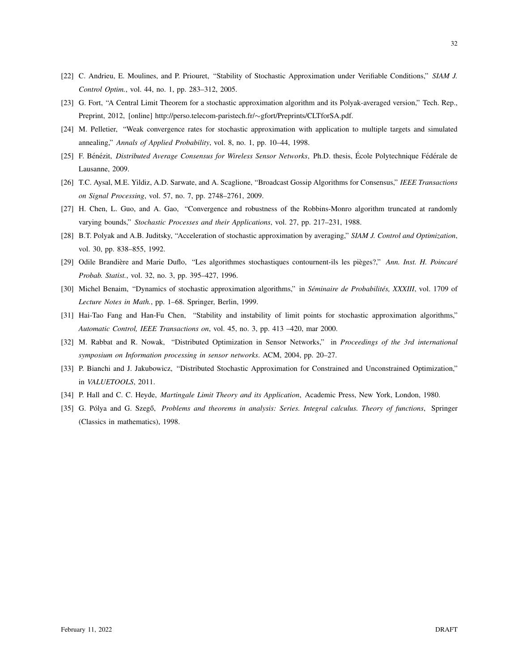- [22] C. Andrieu, E. Moulines, and P. Priouret, "Stability of Stochastic Approximation under Verifiable Conditions," *SIAM J. Control Optim.*, vol. 44, no. 1, pp. 283–312, 2005.
- [23] G. Fort, "A Central Limit Theorem for a stochastic approximation algorithm and its Polyak-averaged version," Tech. Rep., Preprint, 2012, [online] http://perso.telecom-paristech.fr/∼gfort/Preprints/CLTforSA.pdf.
- [24] M. Pelletier, "Weak convergence rates for stochastic approximation with application to multiple targets and simulated annealing," *Annals of Applied Probability*, vol. 8, no. 1, pp. 10–44, 1998.
- [25] F. Bénézit, *Distributed Average Consensus for Wireless Sensor Networks*, Ph.D. thesis, École Polytechnique Fédérale de Lausanne, 2009.
- [26] T.C. Aysal, M.E. Yildiz, A.D. Sarwate, and A. Scaglione, "Broadcast Gossip Algorithms for Consensus," *IEEE Transactions on Signal Processing*, vol. 57, no. 7, pp. 2748–2761, 2009.
- [27] H. Chen, L. Guo, and A. Gao, "Convergence and robustness of the Robbins-Monro algorithm truncated at randomly varying bounds," *Stochastic Processes and their Applications*, vol. 27, pp. 217–231, 1988.
- [28] B.T. Polyak and A.B. Juditsky, "Acceleration of stochastic approximation by averaging," *SIAM J. Control and Optimization*, vol. 30, pp. 838–855, 1992.
- [29] Odile Brandière and Marie Duflo, "Les algorithmes stochastiques contournent-ils les pièges?," Ann. Inst. H. Poincaré *Probab. Statist.*, vol. 32, no. 3, pp. 395–427, 1996.
- [30] Michel Benaim, "Dynamics of stochastic approximation algorithms," in *Séminaire de Probabilités, XXXIII*, vol. 1709 of *Lecture Notes in Math.*, pp. 1–68. Springer, Berlin, 1999.
- [31] Hai-Tao Fang and Han-Fu Chen, "Stability and instability of limit points for stochastic approximation algorithms," *Automatic Control, IEEE Transactions on*, vol. 45, no. 3, pp. 413 –420, mar 2000.
- [32] M. Rabbat and R. Nowak, "Distributed Optimization in Sensor Networks," in *Proceedings of the 3rd international symposium on Information processing in sensor networks*. ACM, 2004, pp. 20–27.
- [33] P. Bianchi and J. Jakubowicz, "Distributed Stochastic Approximation for Constrained and Unconstrained Optimization," in *VALUETOOLS*, 2011.
- [34] P. Hall and C. C. Heyde, *Martingale Limit Theory and its Application*, Academic Press, New York, London, 1980.
- [35] G. Pólya and G. Szegő, Problems and theorems in analysis: Series. Integral calculus. Theory of functions, Springer (Classics in mathematics), 1998.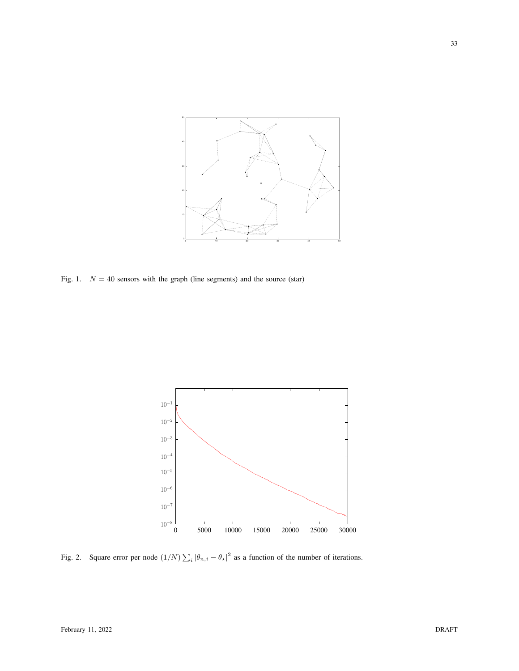

<span id="page-32-0"></span>Fig. 1.  $N = 40$  sensors with the graph (line segments) and the source (star)



<span id="page-32-1"></span>Fig. 2. Square error per node  $(1/N)\sum_i |\theta_{n,i} - \theta_{\star}|^2$  as a function of the number of iterations.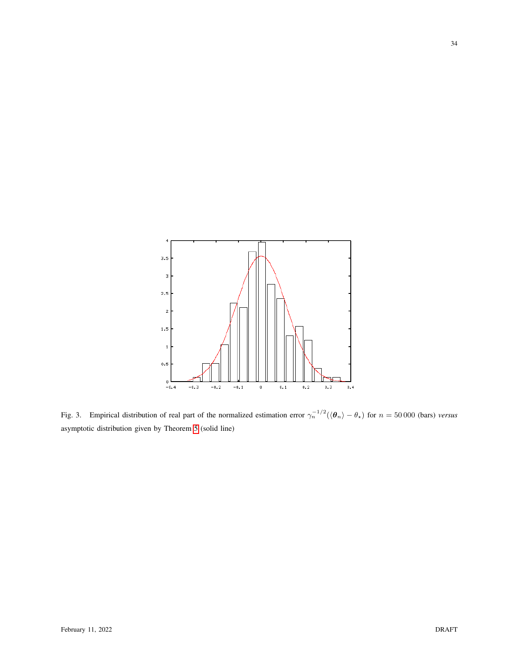

<span id="page-33-0"></span>Fig. 3. Empirical distribution of real part of the normalized estimation error  $\gamma_n^{-1/2}(\langle \theta_n \rangle - \theta_\star)$  for  $n = 50000$  (bars) *versus* asymptotic distribution given by Theorem [5](#page-13-0) (solid line)